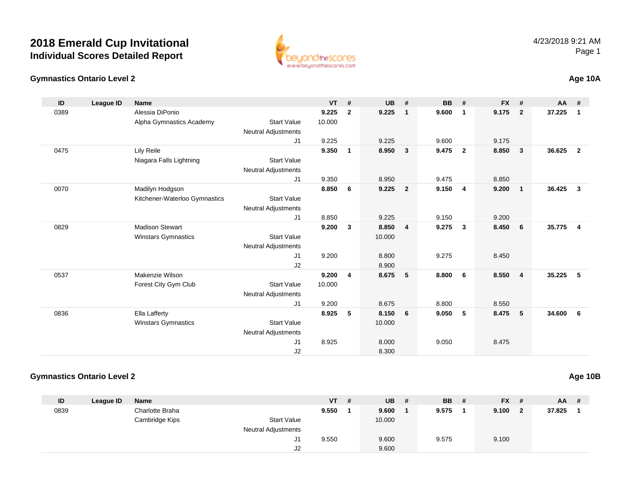



| ID   | League ID | <b>Name</b>                   |                            | <b>VT</b> | #              | <b>UB</b> | #                       | <b>BB</b> | #                       | $FX$ # |                | $AA$ # |                |
|------|-----------|-------------------------------|----------------------------|-----------|----------------|-----------|-------------------------|-----------|-------------------------|--------|----------------|--------|----------------|
| 0389 |           | Alessia DiPonio               |                            | 9.225     | $\overline{2}$ | 9.225     | $\mathbf{1}$            | 9.600     | $\overline{1}$          | 9.175  | $\overline{2}$ | 37.225 | $\mathbf 1$    |
|      |           | Alpha Gymnastics Academy      | <b>Start Value</b>         | 10.000    |                |           |                         |           |                         |        |                |        |                |
|      |           |                               | <b>Neutral Adjustments</b> |           |                |           |                         |           |                         |        |                |        |                |
|      |           |                               | J1                         | 9.225     |                | 9.225     |                         | 9.600     |                         | 9.175  |                |        |                |
| 0475 |           | Lily Reile                    |                            | 9.350     | $\mathbf{1}$   | 8.950     | $\mathbf{3}$            | 9.475     | $\overline{\mathbf{2}}$ | 8.850  | - 3            | 36.625 | $\overline{2}$ |
|      |           | Niagara Falls Lightning       | <b>Start Value</b>         |           |                |           |                         |           |                         |        |                |        |                |
|      |           |                               | <b>Neutral Adjustments</b> |           |                |           |                         |           |                         |        |                |        |                |
|      |           |                               | J1                         | 9.350     |                | 8.950     |                         | 9.475     |                         | 8.850  |                |        |                |
| 0070 |           | Madilyn Hodgson               |                            | 8.850     | 6              | 9.225     | $\overline{2}$          | 9.150     | $\overline{\mathbf{4}}$ | 9.200  | $\overline{1}$ | 36.425 | $\mathbf{3}$   |
|      |           | Kitchener-Waterloo Gymnastics | <b>Start Value</b>         |           |                |           |                         |           |                         |        |                |        |                |
|      |           |                               | <b>Neutral Adjustments</b> |           |                |           |                         |           |                         |        |                |        |                |
|      |           |                               | J <sub>1</sub>             | 8.850     |                | 9.225     |                         | 9.150     |                         | 9.200  |                |        |                |
| 0829 |           | <b>Madison Stewart</b>        |                            | 9.200     | $\mathbf{3}$   | 8.850     | $\overline{\mathbf{4}}$ | 9.275     | $\overline{\mathbf{3}}$ | 8.450  | - 6            | 35.775 | $\overline{4}$ |
|      |           | <b>Winstars Gymnastics</b>    | <b>Start Value</b>         |           |                | 10.000    |                         |           |                         |        |                |        |                |
|      |           |                               | <b>Neutral Adjustments</b> |           |                |           |                         |           |                         |        |                |        |                |
|      |           |                               | J1                         | 9.200     |                | 8.800     |                         | 9.275     |                         | 8.450  |                |        |                |
|      |           |                               | J2                         |           |                | 8.900     |                         |           |                         |        |                |        |                |
| 0537 |           | Makenzie Wilson               |                            | 9.200     | $\overline{4}$ | 8.675     | 5                       | 8.800     | 6                       | 8.550  | $\overline{4}$ | 35.225 | 5              |
|      |           |                               |                            |           |                |           |                         |           |                         |        |                |        |                |
|      |           | Forest City Gym Club          | <b>Start Value</b>         | 10.000    |                |           |                         |           |                         |        |                |        |                |
|      |           |                               | <b>Neutral Adjustments</b> |           |                |           |                         |           |                         |        |                |        |                |
|      |           |                               | J1                         | 9.200     |                | 8.675     |                         | 8.800     |                         | 8.550  |                |        |                |
| 0836 |           | Ella Lafferty                 |                            | 8.925     | 5              | 8.150     | 6                       | 9.050     | - 5                     | 8.475  | 5              | 34.600 | 6              |
|      |           | Winstars Gymnastics           | <b>Start Value</b>         |           |                | 10.000    |                         |           |                         |        |                |        |                |
|      |           |                               | <b>Neutral Adjustments</b> |           |                |           |                         |           |                         |        |                |        |                |
|      |           |                               | J1                         | 8.925     |                | 8.000     |                         | 9.050     |                         | 8.475  |                |        |                |
|      |           |                               | J2                         |           |                | 8.300     |                         |           |                         |        |                |        |                |

## **Gymnastics Ontario Level 2**

| ID   | League ID | Name            |                            | <b>VT</b> | # | <b>UB</b> | # | <b>BB</b> | # | <b>FX</b> | #            | $AA$ # |  |
|------|-----------|-----------------|----------------------------|-----------|---|-----------|---|-----------|---|-----------|--------------|--------|--|
| 0839 |           | Charlotte Braha |                            | 9.550     |   | 9.600     |   | 9.575     |   | 9.100     | $\mathbf{2}$ | 37.825 |  |
|      |           | Cambridge Kips  | <b>Start Value</b>         |           |   | 10.000    |   |           |   |           |              |        |  |
|      |           |                 | <b>Neutral Adjustments</b> |           |   |           |   |           |   |           |              |        |  |
|      |           |                 | J1                         | 9.550     |   | 9.600     |   | 9.575     |   | 9.100     |              |        |  |
|      |           |                 | J2                         |           |   | 9.600     |   |           |   |           |              |        |  |

**Age 10B**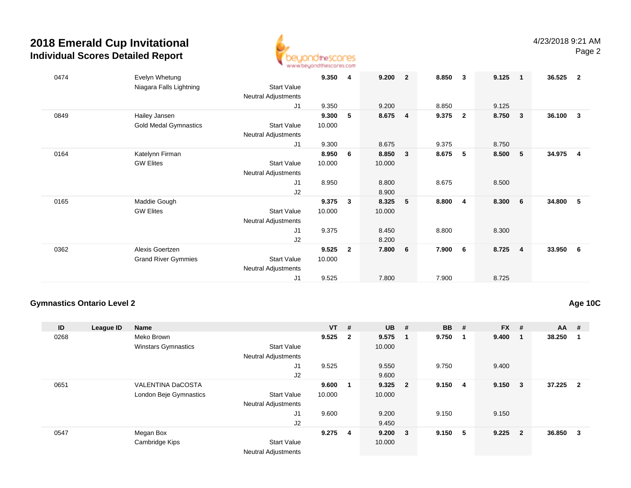

| 0474 | Evelyn Whetung               |                            | 9.350  | 4              | 9.200  | $\overline{2}$ | 8.850 | $\overline{\mathbf{3}}$ | 9.125 | $\overline{\mathbf{1}}$ | 36.525 | -2                      |
|------|------------------------------|----------------------------|--------|----------------|--------|----------------|-------|-------------------------|-------|-------------------------|--------|-------------------------|
|      | Niagara Falls Lightning      | <b>Start Value</b>         |        |                |        |                |       |                         |       |                         |        |                         |
|      |                              | Neutral Adjustments        |        |                |        |                |       |                         |       |                         |        |                         |
|      |                              | J1                         | 9.350  |                | 9.200  |                | 8.850 |                         | 9.125 |                         |        |                         |
| 0849 | Hailey Jansen                |                            | 9.300  | 5              | 8.675  | $\overline{4}$ | 9.375 | $\overline{\mathbf{2}}$ | 8.750 | $\overline{\mathbf{3}}$ | 36.100 | $\mathbf{3}$            |
|      | <b>Gold Medal Gymnastics</b> | <b>Start Value</b>         | 10.000 |                |        |                |       |                         |       |                         |        |                         |
|      |                              | <b>Neutral Adjustments</b> |        |                |        |                |       |                         |       |                         |        |                         |
|      |                              | J1                         | 9.300  |                | 8.675  |                | 9.375 |                         | 8.750 |                         |        |                         |
| 0164 | Katelynn Firman              |                            | 8.950  | 6              | 8.850  | 3              | 8.675 | 5                       | 8.500 | $-5$                    | 34.975 | $\overline{\mathbf{4}}$ |
|      | <b>GW Elites</b>             | <b>Start Value</b>         | 10.000 |                | 10.000 |                |       |                         |       |                         |        |                         |
|      |                              | Neutral Adjustments        |        |                |        |                |       |                         |       |                         |        |                         |
|      |                              | J1                         | 8.950  |                | 8.800  |                | 8.675 |                         | 8.500 |                         |        |                         |
|      |                              | J2                         |        |                | 8.900  |                |       |                         |       |                         |        |                         |
| 0165 | Maddie Gough                 |                            | 9.375  | $\mathbf{3}$   | 8.325  | 5              | 8.800 | $\overline{\mathbf{4}}$ | 8.300 | $6\overline{6}$         | 34.800 | - 5                     |
|      | <b>GW Elites</b>             | <b>Start Value</b>         | 10.000 |                | 10.000 |                |       |                         |       |                         |        |                         |
|      |                              | Neutral Adjustments        |        |                |        |                |       |                         |       |                         |        |                         |
|      |                              | J1                         | 9.375  |                | 8.450  |                | 8.800 |                         | 8.300 |                         |        |                         |
|      |                              | J2                         |        |                | 8.200  |                |       |                         |       |                         |        |                         |
| 0362 | Alexis Goertzen              |                            | 9.525  | $\overline{2}$ | 7.800  | 6              | 7.900 | 6                       | 8.725 | $\overline{4}$          | 33.950 | - 6                     |
|      | <b>Grand River Gymmies</b>   | <b>Start Value</b>         | 10.000 |                |        |                |       |                         |       |                         |        |                         |
|      |                              | <b>Neutral Adjustments</b> |        |                |        |                |       |                         |       |                         |        |                         |
|      |                              | J <sub>1</sub>             | 9.525  |                | 7.800  |                | 7.900 |                         | 8.725 |                         |        |                         |

## **Gymnastics Ontario Level 2**

## **Age 10C**

| ID   | League ID | <b>Name</b>                |                            | $VT$ #    |   | $UB$ #       | <b>BB</b>    | #   | $FX$ #      |                         | $AA$ # |                         |
|------|-----------|----------------------------|----------------------------|-----------|---|--------------|--------------|-----|-------------|-------------------------|--------|-------------------------|
| 0268 |           | Meko Brown                 |                            | $9.525$ 2 |   | $9.575$ 1    | 9.750        | - 1 | 9.400       | $\blacksquare$          | 38.250 | - 1                     |
|      |           | <b>Winstars Gymnastics</b> | <b>Start Value</b>         |           |   | 10.000       |              |     |             |                         |        |                         |
|      |           |                            | <b>Neutral Adjustments</b> |           |   |              |              |     |             |                         |        |                         |
|      |           |                            | J1                         | 9.525     |   | 9.550        | 9.750        |     | 9.400       |                         |        |                         |
|      |           |                            | J2                         |           |   | 9.600        |              |     |             |                         |        |                         |
| 0651 |           | <b>VALENTINA DaCOSTA</b>   |                            | 9.600     |   | $9.325$ 2    | $9.150 \t 4$ |     | $9.150 \t3$ |                         | 37.225 | $\overline{\mathbf{2}}$ |
|      |           | London Beje Gymnastics     | <b>Start Value</b>         | 10.000    |   | 10.000       |              |     |             |                         |        |                         |
|      |           |                            | <b>Neutral Adjustments</b> |           |   |              |              |     |             |                         |        |                         |
|      |           |                            | J <sub>1</sub>             | 9.600     |   | 9.200        | 9.150        |     | 9.150       |                         |        |                         |
|      |           |                            | J <sub>2</sub>             |           |   | 9.450        |              |     |             |                         |        |                         |
| 0547 |           | Megan Box                  |                            | 9.275     | 4 | $9.200 \t 3$ | 9.150        | 5   | 9.225       | $\overline{\mathbf{2}}$ | 36.850 | $\overline{\mathbf{3}}$ |
|      |           | Cambridge Kips             | <b>Start Value</b>         |           |   | 10.000       |              |     |             |                         |        |                         |
|      |           |                            | <b>Neutral Adjustments</b> |           |   |              |              |     |             |                         |        |                         |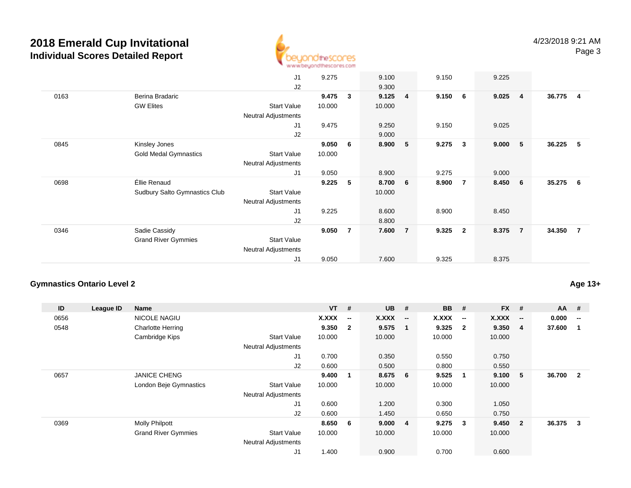

|      |                                      | J1                         | 9.275  |                | 9.100  |                | 9.150 |                | 9.225                    |        |                |
|------|--------------------------------------|----------------------------|--------|----------------|--------|----------------|-------|----------------|--------------------------|--------|----------------|
|      |                                      | J2                         |        |                | 9.300  |                |       |                |                          |        |                |
| 0163 | Berina Bradaric                      |                            | 9.475  | $\mathbf{3}$   | 9.125  | $\overline{4}$ | 9.150 | 6              | 9.025<br>$\overline{4}$  | 36.775 | $\overline{4}$ |
|      | <b>GW Elites</b>                     | <b>Start Value</b>         | 10.000 |                | 10.000 |                |       |                |                          |        |                |
|      |                                      | Neutral Adjustments        |        |                |        |                |       |                |                          |        |                |
|      |                                      | J <sub>1</sub>             | 9.475  |                | 9.250  |                | 9.150 |                | 9.025                    |        |                |
|      |                                      | J2                         |        |                | 9.000  |                |       |                |                          |        |                |
| 0845 | Kinsley Jones                        |                            | 9.050  | -6             | 8.900  | 5              | 9.275 | 3              | 9.000<br>$-5$            | 36.225 | - 5            |
|      | Gold Medal Gymnastics                | <b>Start Value</b>         | 10.000 |                |        |                |       |                |                          |        |                |
|      |                                      | Neutral Adjustments        |        |                |        |                |       |                |                          |        |                |
|      |                                      | J1                         | 9.050  |                | 8.900  |                | 9.275 |                | 9.000                    |        |                |
| 0698 | Éllie Renaud                         |                            | 9.225  | 5              | 8.700  | 6              | 8.900 | $\overline{7}$ | 8.450<br>$6\overline{6}$ | 35.275 | 6              |
|      | <b>Sudbury Salto Gymnastics Club</b> | <b>Start Value</b>         |        |                | 10.000 |                |       |                |                          |        |                |
|      |                                      | <b>Neutral Adjustments</b> |        |                |        |                |       |                |                          |        |                |
|      |                                      | J1                         | 9.225  |                | 8.600  |                | 8.900 |                | 8.450                    |        |                |
|      |                                      | J2                         |        |                | 8.800  |                |       |                |                          |        |                |
| 0346 | Sadie Cassidy                        |                            | 9.050  | $\overline{7}$ | 7.600  | $\overline{7}$ | 9.325 | $\overline{2}$ | 8.375<br>$\overline{7}$  | 34.350 | $\overline{7}$ |
|      | <b>Grand River Gymmies</b>           | <b>Start Value</b>         |        |                |        |                |       |                |                          |        |                |
|      |                                      | <b>Neutral Adjustments</b> |        |                |        |                |       |                |                          |        |                |
|      |                                      | J1                         | 9.050  |                | 7.600  |                | 9.325 |                | 8.375                    |        |                |
|      |                                      |                            |        |                |        |                |       |                |                          |        |                |

#### **Gymnastics Ontario Level 2**

**ID League ID Name VT # UB # BB # FX # AA #** 0656NICOLE NAGIU<br>Charlotte Herring **X.XXX -- X.XXX -- X.XXX -- X.XXX -- 0.000 --** 0548 Charlotte Herring **9.350 <sup>2</sup> 9.575 <sup>1</sup> 9.325 <sup>2</sup> 9.350 <sup>4</sup> 37.600 <sup>1</sup>** Cambridge Kips Start Valuee 10.000 10.000 10.000 10.000 Neutral Adjustments J1 0.700 0.350 0.550 0.750 J2 0.600 0.500 0.800 0.550 0657 JANICE CHENG **9.400 <sup>1</sup> 8.675 <sup>6</sup> 9.525 <sup>1</sup> 9.100 <sup>5</sup> 36.700 <sup>2</sup>** London Beje Gymnastics Start Valuee 10.000 10.000 10.000 10.000 Neutral Adjustments J1 0.600 1.200 0.300 1.050 J2 0.600 1.450 0.650 0.750 0369 Molly Philpott **8.650 <sup>6</sup> 9.000 <sup>4</sup> 9.275 <sup>3</sup> 9.450 <sup>2</sup> 36.375 <sup>3</sup>** Grand River Gymmies Start Valuee 10.000 10.000 10.000 10.000 Neutral Adjustments J11.400 0.900 0.700 0.600

**Age 13+**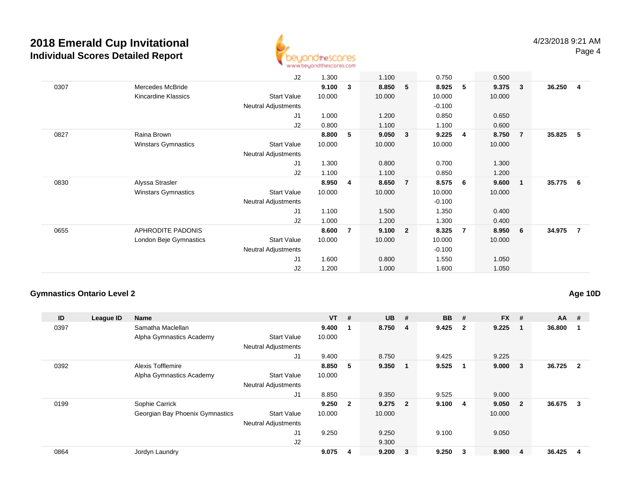

|      |                            | J2                         | 1.300  |                | 1.100  |                | 0.750    |                | 0.500  |                         |        |     |
|------|----------------------------|----------------------------|--------|----------------|--------|----------------|----------|----------------|--------|-------------------------|--------|-----|
| 0307 | Mercedes McBride           |                            | 9.100  | 3              | 8.850  | 5              | 8.925    | 5              | 9.375  | $\overline{\mathbf{3}}$ | 36.250 | -4  |
|      | Kincardine Klassics        | <b>Start Value</b>         | 10.000 |                | 10.000 |                | 10.000   |                | 10.000 |                         |        |     |
|      |                            | <b>Neutral Adjustments</b> |        |                |        |                | $-0.100$ |                |        |                         |        |     |
|      |                            | J1                         | 1.000  |                | 1.200  |                | 0.850    |                | 0.650  |                         |        |     |
|      |                            | J2                         | 0.800  |                | 1.100  |                | 1.100    |                | 0.600  |                         |        |     |
| 0827 | Raina Brown                |                            | 8.800  | 5              | 9.050  | 3              | 9.225    | $\overline{4}$ | 8.750  | $\overline{7}$          | 35.825 | -5  |
|      | <b>Winstars Gymnastics</b> | <b>Start Value</b>         | 10.000 |                | 10.000 |                | 10.000   |                | 10.000 |                         |        |     |
|      |                            | Neutral Adjustments        |        |                |        |                |          |                |        |                         |        |     |
|      |                            | J1                         | 1.300  |                | 0.800  |                | 0.700    |                | 1.300  |                         |        |     |
|      |                            | J2                         | 1.100  |                | 1.100  |                | 0.850    |                | 1.200  |                         |        |     |
| 0830 | Alyssa Strasler            |                            | 8.950  | 4              | 8.650  | $\overline{7}$ | 8.575    | - 6            | 9.600  | - 1                     | 35.775 | - 6 |
|      | <b>Winstars Gymnastics</b> | <b>Start Value</b>         | 10.000 |                | 10.000 |                | 10.000   |                | 10.000 |                         |        |     |
|      |                            | Neutral Adjustments        |        |                |        |                | $-0.100$ |                |        |                         |        |     |
|      |                            | J1                         | 1.100  |                | 1.500  |                | 1.350    |                | 0.400  |                         |        |     |
|      |                            | J2                         | 1.000  |                | 1.200  |                | 1.300    |                | 0.400  |                         |        |     |
| 0655 | APHRODITE PADONIS          |                            | 8.600  | $\overline{7}$ | 9.100  | $\overline{2}$ | 8.325    | $\overline{7}$ | 8.950  | - 6                     | 34.975 | -7  |
|      | London Beje Gymnastics     | <b>Start Value</b>         | 10.000 |                | 10.000 |                | 10.000   |                | 10.000 |                         |        |     |
|      |                            | Neutral Adjustments        |        |                |        |                | $-0.100$ |                |        |                         |        |     |
|      |                            | J1                         | 1.600  |                | 0.800  |                | 1.550    |                | 1.050  |                         |        |     |
|      |                            | J2                         | 1.200  |                | 1.000  |                | 1.600    |                | 1.050  |                         |        |     |
|      |                            |                            |        |                |        |                |          |                |        |                         |        |     |

## **Gymnastics Ontario Level 2**

**Age 10D**

| ID   | League ID | <b>Name</b>                     |                            | <b>VT</b> | #              | <b>UB</b> | #                       | <b>BB</b> | #                       | <b>FX</b> | #                       | <b>AA</b> | #                       |
|------|-----------|---------------------------------|----------------------------|-----------|----------------|-----------|-------------------------|-----------|-------------------------|-----------|-------------------------|-----------|-------------------------|
| 0397 |           | Samatha Maclellan               |                            | 9.400     |                | 8.750     | -4                      | 9.425     | $\overline{\mathbf{2}}$ | 9.225     | - 1                     | 36.800    | -1                      |
|      |           | Alpha Gymnastics Academy        | <b>Start Value</b>         | 10.000    |                |           |                         |           |                         |           |                         |           |                         |
|      |           |                                 | <b>Neutral Adjustments</b> |           |                |           |                         |           |                         |           |                         |           |                         |
|      |           |                                 | J1                         | 9.400     |                | 8.750     |                         | 9.425     |                         | 9.225     |                         |           |                         |
| 0392 |           | <b>Alexis Tofflemire</b>        |                            | 8.850     | 5              | 9.350     | -1                      | 9.525     |                         | 9.000     | $\overline{\mathbf{3}}$ | 36.725    | $\overline{\mathbf{2}}$ |
|      |           | Alpha Gymnastics Academy        | <b>Start Value</b>         | 10.000    |                |           |                         |           |                         |           |                         |           |                         |
|      |           |                                 | <b>Neutral Adjustments</b> |           |                |           |                         |           |                         |           |                         |           |                         |
|      |           |                                 | J1                         | 8.850     |                | 9.350     |                         | 9.525     |                         | 9.000     |                         |           |                         |
| 0199 |           | Sophie Carrick                  |                            | 9.250     | $\overline{2}$ | 9.275     | $\overline{\mathbf{2}}$ | 9.100     | $\overline{\mathbf{4}}$ | 9.050     | $\overline{\mathbf{2}}$ | 36.675    | -3                      |
|      |           | Georgian Bay Phoenix Gymnastics | <b>Start Value</b>         | 10.000    |                | 10.000    |                         |           |                         | 10.000    |                         |           |                         |
|      |           |                                 | <b>Neutral Adjustments</b> |           |                |           |                         |           |                         |           |                         |           |                         |
|      |           |                                 | J <sub>1</sub>             | 9.250     |                | 9.250     |                         | 9.100     |                         | 9.050     |                         |           |                         |
|      |           |                                 | J <sub>2</sub>             |           |                | 9.300     |                         |           |                         |           |                         |           |                         |
| 0864 |           | Jordyn Laundry                  |                            | 9.075     | 4              | 9.200     | 3                       | 9.250     | 3                       | 8.900     | 4                       | 36.425    | 4                       |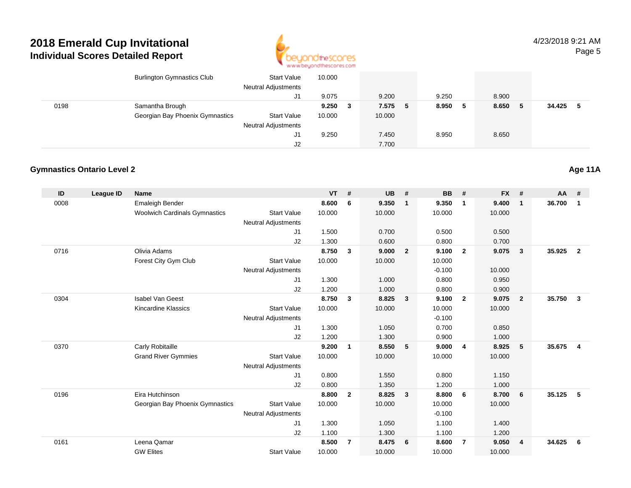

|      | <b>Burlington Gymnastics Club</b> | <b>Start Value</b><br><b>Neutral Adjustments</b> | 10.000 |    |         |         |         |               |
|------|-----------------------------------|--------------------------------------------------|--------|----|---------|---------|---------|---------------|
|      |                                   | J1                                               | 9.075  |    | 9.200   | 9.250   | 8.900   |               |
| 0198 | Samantha Brough                   |                                                  | 9.250  | -3 | 7.575 5 | 8.950 5 | 8.650 5 | 34.425<br>- 5 |
|      | Georgian Bay Phoenix Gymnastics   | <b>Start Value</b>                               | 10.000 |    | 10.000  |         |         |               |
|      |                                   | <b>Neutral Adjustments</b>                       |        |    |         |         |         |               |
|      |                                   | J1                                               | 9.250  |    | 7.450   | 8.950   | 8.650   |               |
|      |                                   | J2                                               |        |    | 7.700   |         |         |               |

## **Gymnastics Ontario Level 2**

| ID   | <b>League ID</b> | <b>Name</b>                          |                            | <b>VT</b> | #              | <b>UB</b> | #                       | <b>BB</b> | #              | <b>FX</b> | #              | <b>AA</b> | #                       |
|------|------------------|--------------------------------------|----------------------------|-----------|----------------|-----------|-------------------------|-----------|----------------|-----------|----------------|-----------|-------------------------|
| 0008 |                  | Emaleigh Bender                      |                            | 8.600     | 6              | 9.350     | $\overline{1}$          | 9.350     | $\mathbf{1}$   | 9.400     | $\mathbf{1}$   | 36.700    | $\mathbf{1}$            |
|      |                  | <b>Woolwich Cardinals Gymnastics</b> | <b>Start Value</b>         | 10.000    |                | 10.000    |                         | 10.000    |                | 10.000    |                |           |                         |
|      |                  |                                      | <b>Neutral Adjustments</b> |           |                |           |                         |           |                |           |                |           |                         |
|      |                  |                                      | J1                         | 1.500     |                | 0.700     |                         | 0.500     |                | 0.500     |                |           |                         |
|      |                  |                                      | J2                         | 1.300     |                | 0.600     |                         | 0.800     |                | 0.700     |                |           |                         |
| 0716 |                  | Olivia Adams                         |                            | 8.750     | $\mathbf{3}$   | 9.000     | $\overline{\mathbf{2}}$ | 9.100     | $\overline{2}$ | 9.075     | 3              | 35.925    | $\overline{2}$          |
|      |                  | Forest City Gym Club                 | <b>Start Value</b>         | 10.000    |                | 10.000    |                         | 10.000    |                |           |                |           |                         |
|      |                  |                                      | <b>Neutral Adjustments</b> |           |                |           |                         | $-0.100$  |                | 10.000    |                |           |                         |
|      |                  |                                      | J1                         | 1.300     |                | 1.000     |                         | 0.800     |                | 0.950     |                |           |                         |
|      |                  |                                      | J2                         | 1.200     |                | 1.000     |                         | 0.800     |                | 0.900     |                |           |                         |
| 0304 |                  | <b>Isabel Van Geest</b>              |                            | 8.750     | $\mathbf{3}$   | 8.825     | $\overline{\mathbf{3}}$ | 9.100     | $\overline{2}$ | 9.075     | $\overline{2}$ | 35.750    | $\mathbf{3}$            |
|      |                  | Kincardine Klassics                  | <b>Start Value</b>         | 10.000    |                | 10.000    |                         | 10.000    |                | 10.000    |                |           |                         |
|      |                  |                                      | <b>Neutral Adjustments</b> |           |                |           |                         | $-0.100$  |                |           |                |           |                         |
|      |                  |                                      | J1                         | 1.300     |                | 1.050     |                         | 0.700     |                | 0.850     |                |           |                         |
|      |                  |                                      | J2                         | 1.200     |                | 1.300     |                         | 0.900     |                | 1.000     |                |           |                         |
| 0370 |                  | Carly Robitaille                     |                            | 9.200     | 1              | 8.550     | - 5                     | 9.000     | $\overline{4}$ | 8.925     | 5              | 35.675    | $\overline{\mathbf{4}}$ |
|      |                  | <b>Grand River Gymmies</b>           | <b>Start Value</b>         | 10.000    |                | 10.000    |                         | 10.000    |                | 10.000    |                |           |                         |
|      |                  |                                      | <b>Neutral Adjustments</b> |           |                |           |                         |           |                |           |                |           |                         |
|      |                  |                                      | J <sub>1</sub>             | 0.800     |                | 1.550     |                         | 0.800     |                | 1.150     |                |           |                         |
|      |                  |                                      | J2                         | 0.800     |                | 1.350     |                         | 1.200     |                | 1.000     |                |           |                         |
| 0196 |                  | Eira Hutchinson                      |                            | 8.800     | $\mathbf{2}$   | 8.825     | $\overline{\mathbf{3}}$ | 8.800     | 6              | 8.700     | 6              | 35.125    | 5                       |
|      |                  | Georgian Bay Phoenix Gymnastics      | <b>Start Value</b>         | 10.000    |                | 10.000    |                         | 10.000    |                | 10.000    |                |           |                         |
|      |                  |                                      | <b>Neutral Adjustments</b> |           |                |           |                         | $-0.100$  |                |           |                |           |                         |
|      |                  |                                      | J <sub>1</sub>             | 1.300     |                | 1.050     |                         | 1.100     |                | 1.400     |                |           |                         |
|      |                  |                                      | J2                         | 1.100     |                | 1.300     |                         | 1.100     |                | 1.200     |                |           |                         |
| 0161 |                  | Leena Qamar                          |                            | 8.500     | $\overline{7}$ | 8.475     | 6                       | 8.600     | $\overline{7}$ | 9.050     | $\overline{4}$ | 34.625    | 6                       |
|      |                  | <b>GW Elites</b>                     | <b>Start Value</b>         | 10.000    |                | 10.000    |                         | 10.000    |                | 10.000    |                |           |                         |

**Age 11A**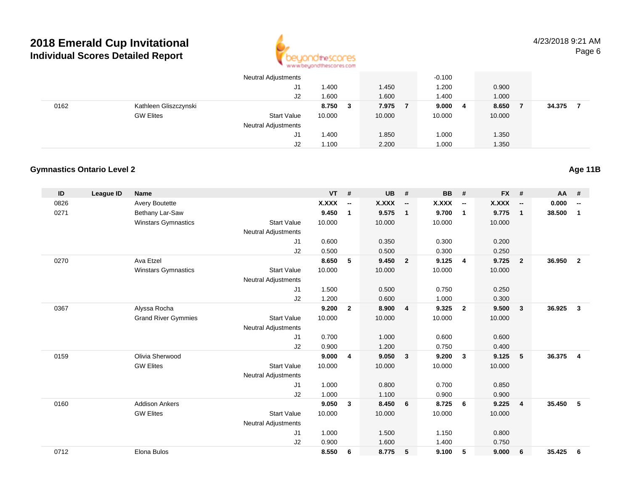

|      |                       | <b>Neutral Adjustments</b> |        |   |        | $-0.100$ |                |        |        |  |
|------|-----------------------|----------------------------|--------|---|--------|----------|----------------|--------|--------|--|
|      |                       | J1                         | 1.400  |   | 1.450  | 1.200    |                | 0.900  |        |  |
|      |                       | J2                         | 1.600  |   | 1.600  | 1.400    |                | 1.000  |        |  |
| 0162 | Kathleen Gliszczynski |                            | 8.750  | 3 | 7.975  | 9.000    | $\overline{4}$ | 8.650  | 34.375 |  |
|      | <b>GW Elites</b>      | <b>Start Value</b>         | 10.000 |   | 10.000 | 10.000   |                | 10.000 |        |  |
|      |                       | <b>Neutral Adjustments</b> |        |   |        |          |                |        |        |  |
|      |                       | J1                         | 1.400  |   | 1.850  | 1.000    |                | 1.350  |        |  |
|      |                       | J2                         | 1.100  |   | 2.200  | 1.000    |                | 1.350  |        |  |

## **Gymnastics Ontario Level 2**

| ID   | <b>League ID</b> | <b>Name</b>                |                            | <b>VT</b>    | #                        | <b>UB</b> | #                        | <b>BB</b> | #                        | <b>FX</b> | #                        | AA     | #                        |
|------|------------------|----------------------------|----------------------------|--------------|--------------------------|-----------|--------------------------|-----------|--------------------------|-----------|--------------------------|--------|--------------------------|
| 0826 |                  | <b>Avery Boutette</b>      |                            | <b>X.XXX</b> | $\overline{\phantom{a}}$ | X.XXX     | $\overline{\phantom{a}}$ | X.XXX     | $\overline{\phantom{a}}$ | X.XXX     | $\overline{\phantom{a}}$ | 0.000  | $\overline{\phantom{a}}$ |
| 0271 |                  | Bethany Lar-Saw            |                            | 9.450        | $\mathbf{1}$             | 9.575     | $\overline{1}$           | 9.700     | $\overline{1}$           | 9.775     | $\mathbf{1}$             | 38.500 | 1                        |
|      |                  | <b>Winstars Gymnastics</b> | <b>Start Value</b>         | 10.000       |                          | 10.000    |                          | 10.000    |                          | 10.000    |                          |        |                          |
|      |                  |                            | <b>Neutral Adjustments</b> |              |                          |           |                          |           |                          |           |                          |        |                          |
|      |                  |                            | J1                         | 0.600        |                          | 0.350     |                          | 0.300     |                          | 0.200     |                          |        |                          |
|      |                  |                            | J2                         | 0.500        |                          | 0.500     |                          | 0.300     |                          | 0.250     |                          |        |                          |
| 0270 |                  | Ava Etzel                  |                            | 8.650        | 5                        | 9.450     | $\overline{2}$           | 9.125     | $\overline{4}$           | 9.725     | $\overline{2}$           | 36.950 | $\overline{2}$           |
|      |                  | <b>Winstars Gymnastics</b> | <b>Start Value</b>         | 10.000       |                          | 10.000    |                          | 10.000    |                          | 10.000    |                          |        |                          |
|      |                  |                            | Neutral Adjustments        |              |                          |           |                          |           |                          |           |                          |        |                          |
|      |                  |                            | J1                         | 1.500        |                          | 0.500     |                          | 0.750     |                          | 0.250     |                          |        |                          |
|      |                  |                            | J2                         | 1.200        |                          | 0.600     |                          | 1.000     |                          | 0.300     |                          |        |                          |
| 0367 |                  | Alyssa Rocha               |                            | 9.200        | $\overline{2}$           | 8.900     | $\overline{4}$           | 9.325     | $\overline{\mathbf{2}}$  | 9.500     | $\mathbf{3}$             | 36.925 | $\mathbf{3}$             |
|      |                  | <b>Grand River Gymmies</b> | <b>Start Value</b>         | 10.000       |                          | 10.000    |                          | 10.000    |                          | 10.000    |                          |        |                          |
|      |                  |                            | <b>Neutral Adjustments</b> |              |                          |           |                          |           |                          |           |                          |        |                          |
|      |                  |                            | J1                         | 0.700        |                          | 1.000     |                          | 0.600     |                          | 0.600     |                          |        |                          |
|      |                  |                            | J2                         | 0.900        |                          | 1.200     |                          | 0.750     |                          | 0.400     |                          |        |                          |
| 0159 |                  | Olivia Sherwood            |                            | 9.000        | $\overline{\mathbf{4}}$  | 9.050     | $\overline{\mathbf{3}}$  | 9.200     | $\overline{\mathbf{3}}$  | 9.125     | 5                        | 36.375 | $\overline{4}$           |
|      |                  | <b>GW Elites</b>           | <b>Start Value</b>         | 10.000       |                          | 10.000    |                          | 10.000    |                          | 10.000    |                          |        |                          |
|      |                  |                            | <b>Neutral Adjustments</b> |              |                          |           |                          |           |                          |           |                          |        |                          |
|      |                  |                            | J <sub>1</sub>             | 1.000        |                          | 0.800     |                          | 0.700     |                          | 0.850     |                          |        |                          |
|      |                  |                            | J2                         | 1.000        |                          | 1.100     |                          | 0.900     |                          | 0.900     |                          |        |                          |
| 0160 |                  | <b>Addison Ankers</b>      |                            | 9.050        | 3                        | 8.450     | 6                        | 8.725     | - 6                      | 9.225     | $\overline{4}$           | 35.450 | 5                        |
|      |                  | <b>GW Elites</b>           | <b>Start Value</b>         | 10.000       |                          | 10.000    |                          | 10.000    |                          | 10.000    |                          |        |                          |
|      |                  |                            | <b>Neutral Adjustments</b> |              |                          |           |                          |           |                          |           |                          |        |                          |
|      |                  |                            | J1                         | 1.000        |                          | 1.500     |                          | 1.150     |                          | 0.800     |                          |        |                          |
|      |                  |                            | J2                         | 0.900        |                          | 1.600     |                          | 1.400     |                          | 0.750     |                          |        |                          |
| 0712 |                  | Elona Bulos                |                            | 8.550        | 6                        | 8.775     | 5                        | 9.100     | 5                        | 9.000     | 6                        | 35.425 | 6                        |
|      |                  |                            |                            |              |                          |           |                          |           |                          |           |                          |        |                          |

## **Age 11B**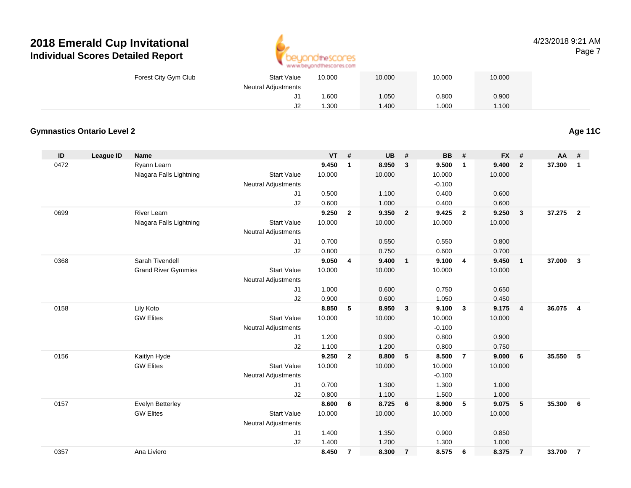

#### 4/23/2018 9:21 AMPage 7

| Forest City Gym Club | <b>Start Value</b>  | 10.000 | 10.000 | 10.000 | 10.000 |
|----------------------|---------------------|--------|--------|--------|--------|
|                      | Neutral Adjustments |        |        |        |        |
|                      | J1                  | .600   | 1.050  | 0.800  | 0.900  |
|                      | J2                  | .300   | 1.400  | 000، ا | 1.100  |

## **Gymnastics Ontario Level 2**

**Age 11C**

| ID   | <b>League ID</b> | <b>Name</b>                |                            | $VT$ # |                | <b>UB</b> | #              | <b>BB</b> | #              | <b>FX</b> | #                       | AA     | #              |
|------|------------------|----------------------------|----------------------------|--------|----------------|-----------|----------------|-----------|----------------|-----------|-------------------------|--------|----------------|
| 0472 |                  | Ryann Learn                |                            | 9.450  | $\mathbf{1}$   | 8.950     | $\mathbf{3}$   | 9.500     | $\mathbf{1}$   | 9.400     | $\overline{2}$          | 37.300 | $\mathbf{1}$   |
|      |                  | Niagara Falls Lightning    | <b>Start Value</b>         | 10.000 |                | 10.000    |                | 10.000    |                | 10.000    |                         |        |                |
|      |                  |                            | <b>Neutral Adjustments</b> |        |                |           |                | $-0.100$  |                |           |                         |        |                |
|      |                  |                            | J1                         | 0.500  |                | 1.100     |                | 0.400     |                | 0.600     |                         |        |                |
|      |                  |                            | J2                         | 0.600  |                | 1.000     |                | 0.400     |                | 0.600     |                         |        |                |
| 0699 |                  | <b>River Learn</b>         |                            | 9.250  | $\overline{2}$ | 9.350     | $\overline{2}$ | 9.425     | $\overline{2}$ | 9.250     | $\overline{\mathbf{3}}$ | 37.275 | $\overline{2}$ |
|      |                  | Niagara Falls Lightning    | <b>Start Value</b>         | 10.000 |                | 10.000    |                | 10.000    |                | 10.000    |                         |        |                |
|      |                  |                            | <b>Neutral Adjustments</b> |        |                |           |                |           |                |           |                         |        |                |
|      |                  |                            | J1                         | 0.700  |                | 0.550     |                | 0.550     |                | 0.800     |                         |        |                |
|      |                  |                            | J2                         | 0.800  |                | 0.750     |                | 0.600     |                | 0.700     |                         |        |                |
| 0368 |                  | Sarah Tivendell            |                            | 9.050  | 4              | 9.400     | $\mathbf{1}$   | 9.100     | $\overline{4}$ | 9.450     | $\overline{1}$          | 37.000 | $\mathbf{3}$   |
|      |                  | <b>Grand River Gymmies</b> | <b>Start Value</b>         | 10.000 |                | 10.000    |                | 10.000    |                | 10.000    |                         |        |                |
|      |                  |                            | <b>Neutral Adjustments</b> |        |                |           |                |           |                |           |                         |        |                |
|      |                  |                            | J1                         | 1.000  |                | 0.600     |                | 0.750     |                | 0.650     |                         |        |                |
|      |                  |                            | J2                         | 0.900  |                | 0.600     |                | 1.050     |                | 0.450     |                         |        |                |
| 0158 |                  | Lily Koto                  |                            | 8.850  | 5              | 8.950     | $\mathbf{3}$   | 9.100     | $\mathbf{3}$   | 9.175     | $\overline{\mathbf{4}}$ | 36.075 | $\overline{4}$ |
|      |                  | <b>GW Elites</b>           | <b>Start Value</b>         | 10.000 |                | 10.000    |                | 10.000    |                | 10.000    |                         |        |                |
|      |                  |                            | <b>Neutral Adjustments</b> |        |                |           |                | $-0.100$  |                |           |                         |        |                |
|      |                  |                            | J1                         | 1.200  |                | 0.900     |                | 0.800     |                | 0.900     |                         |        |                |
|      |                  |                            | J2                         | 1.100  |                | 1.200     |                | 0.800     |                | 0.750     |                         |        |                |
| 0156 |                  | Kaitlyn Hyde               |                            | 9.250  | $\overline{2}$ | 8.800     | 5              | 8.500     | $\overline{7}$ | 9.000     | 6                       | 35.550 | 5              |
|      |                  | <b>GW Elites</b>           | <b>Start Value</b>         | 10.000 |                | 10.000    |                | 10.000    |                | 10.000    |                         |        |                |
|      |                  |                            | <b>Neutral Adjustments</b> |        |                |           |                | $-0.100$  |                |           |                         |        |                |
|      |                  |                            | J1                         | 0.700  |                | 1.300     |                | 1.300     |                | 1.000     |                         |        |                |
|      |                  |                            | J2                         | 0.800  |                | 1.100     |                | 1.500     |                | 1.000     |                         |        |                |
| 0157 |                  | Evelyn Betterley           |                            | 8.600  | 6              | 8.725     | 6              | 8.900     | 5              | 9.075     | 5                       | 35.300 | 6              |
|      |                  | <b>GW Elites</b>           | <b>Start Value</b>         | 10.000 |                | 10.000    |                | 10.000    |                | 10.000    |                         |        |                |
|      |                  |                            | <b>Neutral Adjustments</b> |        |                |           |                |           |                |           |                         |        |                |
|      |                  |                            | J1                         | 1.400  |                | 1.350     |                | 0.900     |                | 0.850     |                         |        |                |
|      |                  |                            | J2                         | 1.400  |                | 1.200     |                | 1.300     |                | 1.000     |                         |        |                |
| 0357 |                  | Ana Liviero                |                            | 8.450  | $\overline{7}$ | 8.300     | $\overline{7}$ | 8.575     | 6              | 8.375     | $\overline{7}$          | 33.700 | $\overline{7}$ |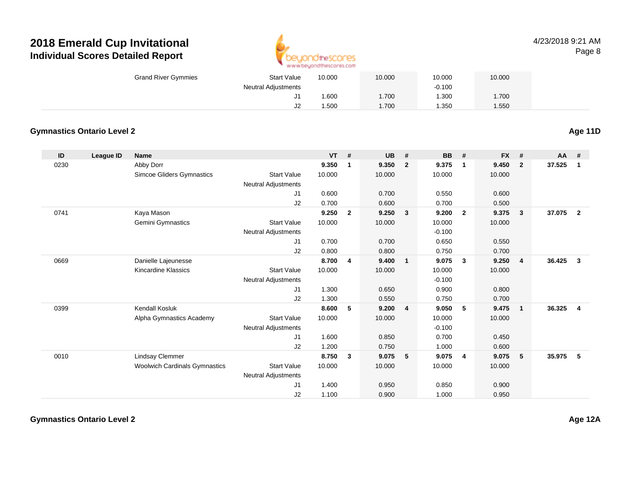

#### 4/23/2018 9:21 AMPage 8

| <b>Grand River Gymmies</b> | <b>Start Value</b>         | 10.000 | 10.000 | 10.000   | 10.000 |
|----------------------------|----------------------------|--------|--------|----------|--------|
|                            | <b>Neutral Adjustments</b> |        |        | $-0.100$ |        |
|                            | J1                         | .600   | .700   | 1.300    | .700   |
|                            | J <sub>2</sub>             | .500   | .700   | 1.350    | .550   |

#### **Gymnastics Ontario Level 2**

**ID League ID Name VT # UB # BB # FX # AA #** 0230 Abby Dorr **9.350 <sup>1</sup> 9.350 <sup>2</sup> 9.375 <sup>1</sup> 9.450 <sup>2</sup> 37.525 <sup>1</sup>** Simcoe Gliders Gymnastics Start Valuee 10.000 10.000 10.000 10.000 Neutral Adjustments J1 0.600 0.700 0.550 0.600 J2 0.700 0.600 0.700 0.500 0741 Kaya Mason **9.250 <sup>2</sup> 9.250 <sup>3</sup> 9.200 <sup>2</sup> 9.375 <sup>3</sup> 37.075 <sup>2</sup>** Gemini Gymnastics Start Valuee 10.000 10.000 10.000 10.000 Neutral Adjustments $-0.100$ 0.650 J1 0.700 0.700 0.650 0.550 J2 0.800 0.800 0.750 0.700 0669 Danielle Lajeunesse **8.700 <sup>4</sup> 9.400 <sup>1</sup> 9.075 <sup>3</sup> 9.250 <sup>4</sup> 36.425 <sup>3</sup>** Kincardine Klassics Start Valuee 10.000 10.000 10.000 10.000 Neutral Adjustments $-0.100$ 0.900 J1 1.300 0.650 0.900 0.800 J2 1.300 0.550 0.750 0.700 0399 Kendall Kosluk **8.600 <sup>5</sup> 9.200 <sup>4</sup> 9.050 <sup>5</sup> 9.475 <sup>1</sup> 36.325 <sup>4</sup>** Alpha Gymnastics Academy Start Valuee 10.000 10.000 10.000 10.000 Neutral Adjustments $-0.100$ 0.700 J1 1.600 0.850 0.700 0.450 J2 1.200 0.750 1.000 0.600 0010 Lindsay Clemmer **8.750 <sup>3</sup> 9.075 <sup>5</sup> 9.075 <sup>4</sup> 9.075 <sup>5</sup> 35.975 <sup>5</sup>** Woolwich Cardinals Gymnastics Start Valuee 10.000 10.000 10.000 10.000 Neutral Adjustments J1 1.400 0.950 0.850 0.900 J21.100 0.900 1.000 0.950

**Age 11D**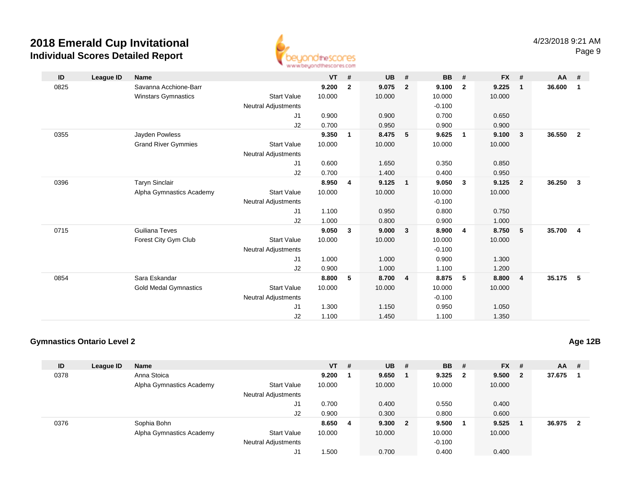

| ID   | League ID | <b>Name</b>                  |                            | <b>VT</b> | #            | <b>UB</b> | #              | <b>BB</b> | #            | $FX$ # |                         | AA     | #                       |
|------|-----------|------------------------------|----------------------------|-----------|--------------|-----------|----------------|-----------|--------------|--------|-------------------------|--------|-------------------------|
| 0825 |           | Savanna Acchione-Barr        |                            | 9.200     | $\mathbf{2}$ | 9.075     | $\overline{2}$ | 9.100     | $\mathbf{2}$ | 9.225  | $\mathbf 1$             | 36.600 | $\overline{1}$          |
|      |           | Winstars Gymnastics          | <b>Start Value</b>         | 10.000    |              | 10.000    |                | 10.000    |              | 10.000 |                         |        |                         |
|      |           |                              | Neutral Adjustments        |           |              |           |                | $-0.100$  |              |        |                         |        |                         |
|      |           |                              | J1                         | 0.900     |              | 0.900     |                | 0.700     |              | 0.650  |                         |        |                         |
|      |           |                              | J2                         | 0.700     |              | 0.950     |                | 0.900     |              | 0.900  |                         |        |                         |
| 0355 |           | Jayden Powless               |                            | 9.350     | $\mathbf{1}$ | 8.475     | 5              | 9.625     | 1            | 9.100  | $\overline{\mathbf{3}}$ | 36.550 | $\overline{\mathbf{2}}$ |
|      |           | <b>Grand River Gymmies</b>   | <b>Start Value</b>         | 10.000    |              | 10.000    |                | 10.000    |              | 10.000 |                         |        |                         |
|      |           |                              | <b>Neutral Adjustments</b> |           |              |           |                |           |              |        |                         |        |                         |
|      |           |                              | J1                         | 0.600     |              | 1.650     |                | 0.350     |              | 0.850  |                         |        |                         |
|      |           |                              | J2                         | 0.700     |              | 1.400     |                | 0.400     |              | 0.950  |                         |        |                         |
| 0396 |           | <b>Taryn Sinclair</b>        |                            | 8.950     | 4            | 9.125     | $\mathbf{1}$   | 9.050     | 3            | 9.125  | $\overline{\mathbf{2}}$ | 36.250 | $\overline{\mathbf{3}}$ |
|      |           | Alpha Gymnastics Academy     | <b>Start Value</b>         | 10.000    |              | 10.000    |                | 10.000    |              | 10.000 |                         |        |                         |
|      |           |                              | <b>Neutral Adjustments</b> |           |              |           |                | $-0.100$  |              |        |                         |        |                         |
|      |           |                              | J1                         | 1.100     |              | 0.950     |                | 0.800     |              | 0.750  |                         |        |                         |
|      |           |                              | J2                         | 1.000     |              | 0.800     |                | 0.900     |              | 1.000  |                         |        |                         |
| 0715 |           | Guiliana Teves               |                            | 9.050     | 3            | 9.000     | $\mathbf{3}$   | 8.900     | 4            | 8.750  | $-5$                    | 35.700 | $\overline{\mathbf{4}}$ |
|      |           | Forest City Gym Club         | <b>Start Value</b>         | 10.000    |              | 10.000    |                | 10.000    |              | 10.000 |                         |        |                         |
|      |           |                              | <b>Neutral Adjustments</b> |           |              |           |                | $-0.100$  |              |        |                         |        |                         |
|      |           |                              | J1                         | 1.000     |              | 1.000     |                | 0.900     |              | 1.300  |                         |        |                         |
|      |           |                              | J2                         | 0.900     |              | 1.000     |                | 1.100     |              | 1.200  |                         |        |                         |
| 0854 |           | Sara Eskandar                |                            | 8.800     | 5            | 8.700     | $\overline{4}$ | 8.875     | 5            | 8.800  | $\overline{4}$          | 35.175 | $-5$                    |
|      |           | <b>Gold Medal Gymnastics</b> | <b>Start Value</b>         | 10.000    |              | 10.000    |                | 10.000    |              | 10.000 |                         |        |                         |
|      |           |                              | <b>Neutral Adjustments</b> |           |              |           |                | $-0.100$  |              |        |                         |        |                         |
|      |           |                              | J1                         | 1.300     |              | 1.150     |                | 0.950     |              | 1.050  |                         |        |                         |
|      |           |                              | J2                         | 1.100     |              | 1.450     |                | 1.100     |              | 1.350  |                         |        |                         |

## **Gymnastics Ontario Level 2**

| ID   | League ID | <b>Name</b>              |                            | $VT$ # |    | $UB$ #  | <b>BB</b> | - #                     | <b>FX</b> | - #                     | <b>AA</b> | #            |
|------|-----------|--------------------------|----------------------------|--------|----|---------|-----------|-------------------------|-----------|-------------------------|-----------|--------------|
| 0378 |           | Anna Stoica              |                            | 9.200  |    | 9.650   | 9.325     | $\overline{\mathbf{2}}$ | 9.500     | $\overline{\mathbf{2}}$ | 37.675    |              |
|      |           | Alpha Gymnastics Academy | <b>Start Value</b>         | 10.000 |    | 10.000  | 10.000    |                         | 10.000    |                         |           |              |
|      |           |                          | <b>Neutral Adjustments</b> |        |    |         |           |                         |           |                         |           |              |
|      |           |                          | J1                         | 0.700  |    | 0.400   | 0.550     |                         | 0.400     |                         |           |              |
|      |           |                          | J2                         | 0.900  |    | 0.300   | 0.800     |                         | 0.600     |                         |           |              |
| 0376 |           | Sophia Bohn              |                            | 8.650  | -4 | 9.300 2 | 9.500     |                         | 9.525     |                         | 36.975    | $\mathbf{2}$ |
|      |           | Alpha Gymnastics Academy | <b>Start Value</b>         | 10.000 |    | 10.000  | 10.000    |                         | 10.000    |                         |           |              |
|      |           |                          | <b>Neutral Adjustments</b> |        |    |         | $-0.100$  |                         |           |                         |           |              |
|      |           |                          | J1                         | .500   |    | 0.700   | 0.400     |                         | 0.400     |                         |           |              |

**Age 12B**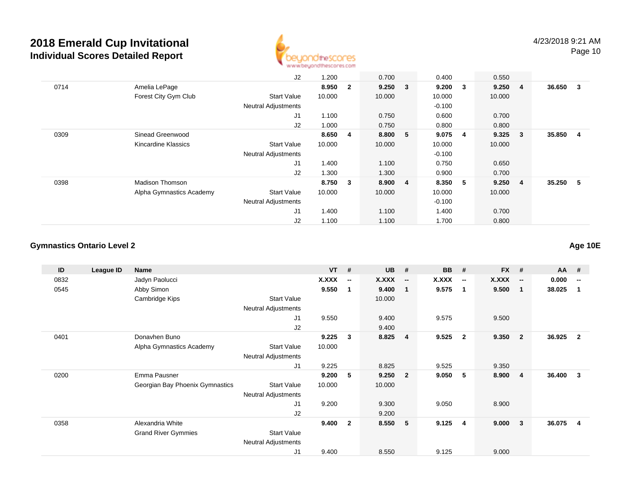

Page 10

|      |                          | J2                         | 1.200  |                | 0.700  |                | 0.400    |    | 0.550   |                         |          |  |
|------|--------------------------|----------------------------|--------|----------------|--------|----------------|----------|----|---------|-------------------------|----------|--|
| 0714 | Amelia LePage            |                            | 8.950  | $\overline{2}$ | 9.250  | $\mathbf{3}$   | 9.200    | 3  | 9.250 4 |                         | 36.650 3 |  |
|      | Forest City Gym Club     | <b>Start Value</b>         | 10.000 |                | 10.000 |                | 10.000   |    | 10.000  |                         |          |  |
|      |                          | <b>Neutral Adjustments</b> |        |                |        |                | $-0.100$ |    |         |                         |          |  |
|      |                          | J1                         | 1.100  |                | 0.750  |                | 0.600    |    | 0.700   |                         |          |  |
|      |                          | J2                         | 1.000  |                | 0.750  |                | 0.800    |    | 0.800   |                         |          |  |
| 0309 | Sinead Greenwood         |                            | 8.650  | 4              | 8.800  | -5             | 9.075    | 4  | 9.325   | $\overline{\mathbf{3}}$ | 35.850 4 |  |
|      | Kincardine Klassics      | <b>Start Value</b>         | 10.000 |                | 10.000 |                | 10.000   |    | 10.000  |                         |          |  |
|      |                          | <b>Neutral Adjustments</b> |        |                |        |                | $-0.100$ |    |         |                         |          |  |
|      |                          | J1                         | 1.400  |                | 1.100  |                | 0.750    |    | 0.650   |                         |          |  |
|      |                          | J2                         | 1.300  |                | 1.300  |                | 0.900    |    | 0.700   |                         |          |  |
| 0398 | <b>Madison Thomson</b>   |                            | 8.750  | 3              | 8.900  | $\overline{4}$ | 8.350    | -5 | 9.250 4 |                         | 35.250 5 |  |
|      | Alpha Gymnastics Academy | <b>Start Value</b>         | 10.000 |                | 10.000 |                | 10.000   |    | 10.000  |                         |          |  |
|      |                          | <b>Neutral Adjustments</b> |        |                |        |                | $-0.100$ |    |         |                         |          |  |
|      |                          | J1                         | 1.400  |                | 1.100  |                | 1.400    |    | 0.700   |                         |          |  |
|      |                          | J2                         | 1.100  |                | 1.100  |                | 1.700    |    | 0.800   |                         |          |  |

#### **Gymnastics Ontario Level 2**

**ID League ID Name VT # UB # BB # FX # AA #** 0832 Jadyn Paolucci **X.XXX -- X.XXX -- X.XXX -- X.XXX -- 0.000 --** 0545 Abby Simon **9.550 <sup>1</sup> 9.400 <sup>1</sup> 9.575 <sup>1</sup> 9.500 <sup>1</sup> 38.025 <sup>1</sup>** Cambridge Kips Start Value 10.000 Neutral Adjustments J1 9.550 9.400 9.575 9.500 J29.400<br>9.225 3 8.825 0401 Donavhen Buno **9.225 <sup>3</sup> 8.825 <sup>4</sup> 9.525 <sup>2</sup> 9.350 <sup>2</sup> 36.925 <sup>2</sup>** Alpha Gymnastics Academy Start Value 10.000 Neutral Adjustments J1 9.225 8.825 9.525 9.350 0200 Emma Pausner **9.200 <sup>5</sup> 9.250 <sup>2</sup> 9.050 <sup>5</sup> 8.900 <sup>4</sup> 36.400 <sup>3</sup>** Georgian Bay Phoenix Gymnastics Start Value 10.000 10.000 Neutral Adjustments J1 9.200 9.300 9.050 8.900 J2 9.200 0358 Alexandria White **9.400 <sup>2</sup> 8.550 <sup>5</sup> 9.125 <sup>4</sup> 9.000 <sup>3</sup> 36.075 <sup>4</sup>** Grand River Gymmies Start Value Neutral Adjustments J19.400 8.550 9.125 9.000

**Age 10E**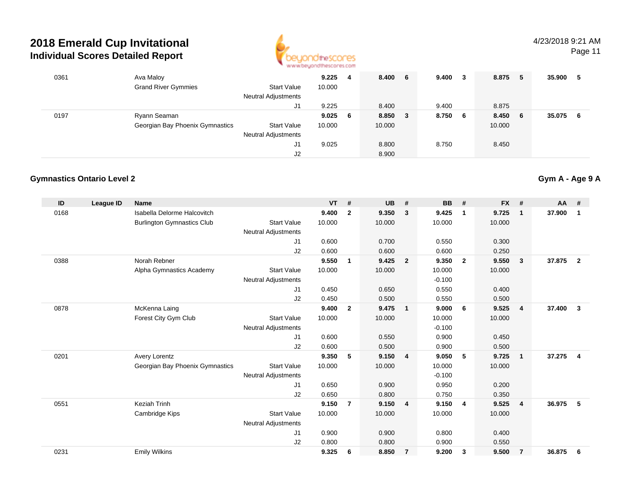

Page 11

| 0361 | Ava Maloy<br><b>Grand River Gymmies</b>         | <b>Start Value</b><br><b>Neutral Adjustments</b><br>J1 | 9.225<br>10.000<br>9.225 | 4 | 8.400<br>8.400    | - 6 | 9.400<br>9.400 | 3 | 8.875<br>8.875  | -5  | 35.900 | 5  |
|------|-------------------------------------------------|--------------------------------------------------------|--------------------------|---|-------------------|-----|----------------|---|-----------------|-----|--------|----|
| 0197 | Ryann Seaman<br>Georgian Bay Phoenix Gymnastics | <b>Start Value</b><br><b>Neutral Adjustments</b>       | $9.025$ 6<br>10.000      |   | 8.850 3<br>10.000 |     | 8.750 6        |   | 8.450<br>10.000 | - 6 | 35.075 | -6 |
|      |                                                 | J1<br>J2                                               | 9.025                    |   | 8.800<br>8.900    |     | 8.750          |   | 8.450           |     |        |    |

#### **Gymnastics Ontario Level 2**

| ID   | League ID | <b>Name</b>                       |                            | <b>VT</b> | #              | <b>UB</b> | #                       | <b>BB</b> | #              | <b>FX</b> | #              | <b>AA</b> | #              |
|------|-----------|-----------------------------------|----------------------------|-----------|----------------|-----------|-------------------------|-----------|----------------|-----------|----------------|-----------|----------------|
| 0168 |           | Isabella Delorme Halcovitch       |                            | 9.400     | $\mathbf{2}$   | 9.350     | 3                       | 9.425     | $\mathbf{1}$   | 9.725     | $\mathbf{1}$   | 37.900    | 1              |
|      |           | <b>Burlington Gymnastics Club</b> | <b>Start Value</b>         | 10.000    |                | 10.000    |                         | 10.000    |                | 10.000    |                |           |                |
|      |           |                                   | <b>Neutral Adjustments</b> |           |                |           |                         |           |                |           |                |           |                |
|      |           |                                   | J1                         | 0.600     |                | 0.700     |                         | 0.550     |                | 0.300     |                |           |                |
|      |           |                                   | J2                         | 0.600     |                | 0.600     |                         | 0.600     |                | 0.250     |                |           |                |
| 0388 |           | Norah Rebner                      |                            | 9.550     | $\overline{1}$ | 9.425     | $\overline{2}$          | 9.350     | $\overline{2}$ | 9.550     | $\mathbf{3}$   | 37.875    | $\overline{2}$ |
|      |           | Alpha Gymnastics Academy          | <b>Start Value</b>         | 10.000    |                | 10.000    |                         | 10.000    |                | 10.000    |                |           |                |
|      |           |                                   | <b>Neutral Adjustments</b> |           |                |           |                         | $-0.100$  |                |           |                |           |                |
|      |           |                                   | J1                         | 0.450     |                | 0.650     |                         | 0.550     |                | 0.400     |                |           |                |
|      |           |                                   | J <sub>2</sub>             | 0.450     |                | 0.500     |                         | 0.550     |                | 0.500     |                |           |                |
| 0878 |           | McKenna Laing                     |                            | 9.400     | $\mathbf{2}$   | 9.475     | $\overline{\mathbf{1}}$ | 9.000     | 6              | 9.525     | $\overline{4}$ | 37.400    | 3              |
|      |           | Forest City Gym Club              | <b>Start Value</b>         | 10.000    |                | 10.000    |                         | 10.000    |                | 10.000    |                |           |                |
|      |           |                                   | <b>Neutral Adjustments</b> |           |                |           |                         | $-0.100$  |                |           |                |           |                |
|      |           |                                   | J <sub>1</sub>             | 0.600     |                | 0.550     |                         | 0.900     |                | 0.450     |                |           |                |
|      |           |                                   | J <sub>2</sub>             | 0.600     |                | 0.500     |                         | 0.900     |                | 0.500     |                |           |                |
| 0201 |           | <b>Avery Lorentz</b>              |                            | 9.350     | 5              | 9.150     | $\overline{4}$          | 9.050     | 5              | 9.725     | $\mathbf{1}$   | 37.275    | $\overline{4}$ |
|      |           | Georgian Bay Phoenix Gymnastics   | <b>Start Value</b>         | 10.000    |                | 10.000    |                         | 10.000    |                | 10.000    |                |           |                |
|      |           |                                   | <b>Neutral Adjustments</b> |           |                |           |                         | $-0.100$  |                |           |                |           |                |
|      |           |                                   | J <sub>1</sub>             | 0.650     |                | 0.900     |                         | 0.950     |                | 0.200     |                |           |                |
|      |           |                                   | J2                         | 0.650     |                | 0.800     |                         | 0.750     |                | 0.350     |                |           |                |
| 0551 |           | <b>Keziah Trinh</b>               |                            | 9.150     | $\overline{7}$ | 9.150     | $\overline{4}$          | 9.150     | -4             | 9.525     | $\overline{4}$ | 36.975    | 5              |
|      |           | Cambridge Kips                    | <b>Start Value</b>         | 10.000    |                | 10.000    |                         | 10.000    |                | 10.000    |                |           |                |
|      |           |                                   | <b>Neutral Adjustments</b> |           |                |           |                         |           |                |           |                |           |                |
|      |           |                                   | J <sub>1</sub>             | 0.900     |                | 0.900     |                         | 0.800     |                | 0.400     |                |           |                |
|      |           |                                   | J <sub>2</sub>             | 0.800     |                | 0.800     |                         | 0.900     |                | 0.550     |                |           |                |
| 0231 |           | <b>Emily Wilkins</b>              |                            | 9.325     | 6              | 8.850     | $\overline{7}$          | 9.200     | 3              | 9.500     | $\overline{7}$ | 36.875    | 6              |
|      |           |                                   |                            |           |                |           |                         |           |                |           |                |           |                |

## **Gym A - Age 9 A**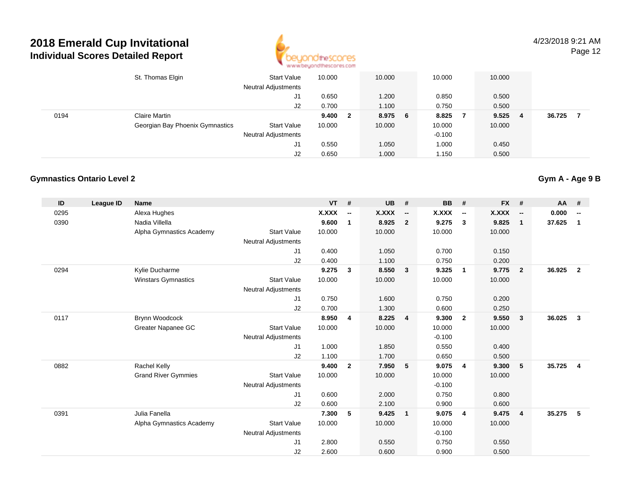

4/23/2018 9:21 AMPage 12

|      | St. Thomas Elgin                | <b>Start Value</b><br><b>Neutral Adjustments</b> | 10.000 |                         | 10.000  | 10.000   | 10.000 |    |        |  |
|------|---------------------------------|--------------------------------------------------|--------|-------------------------|---------|----------|--------|----|--------|--|
|      |                                 | J1                                               | 0.650  |                         | 1.200   | 0.850    | 0.500  |    |        |  |
|      |                                 | J2                                               | 0.700  |                         | 1.100   | 0.750    | 0.500  |    |        |  |
| 0194 | Claire Martin                   |                                                  | 9.400  | $\overline{\mathbf{2}}$ | 8.975 6 | 8.825    | 9.525  | -4 | 36.725 |  |
|      | Georgian Bay Phoenix Gymnastics | <b>Start Value</b>                               | 10.000 |                         | 10.000  | 10.000   | 10.000 |    |        |  |
|      |                                 | <b>Neutral Adjustments</b>                       |        |                         |         | $-0.100$ |        |    |        |  |
|      |                                 | J1                                               | 0.550  |                         | 1.050   | 1.000    | 0.450  |    |        |  |
|      |                                 | J2                                               | 0.650  |                         | 1.000   | 1.150    | 0.500  |    |        |  |

#### **Gymnastics Ontario Level 2**

| <b>X.XXX</b><br><b>X.XXX</b><br><b>X.XXX</b><br>Alexa Hughes<br>X.XXX<br>0.000<br>0295<br>$\overline{\phantom{a}}$<br>$\overline{\phantom{a}}$<br>$\overline{\phantom{a}}$<br>$\overline{\phantom{a}}$<br>$\overline{\phantom{a}}$<br>9.600<br>8.925<br>9.275<br>37.625<br>0390<br>Nadia Villella<br>$\overline{2}$<br>$\overline{\mathbf{3}}$<br>9.825<br>$\mathbf{1}$<br>1<br>$\mathbf{1}$<br>10.000<br>10.000<br>Alpha Gymnastics Academy<br><b>Start Value</b><br>10.000<br>10.000<br><b>Neutral Adjustments</b><br>0.400<br>1.050<br>0.700<br>0.150<br>J1<br>J2<br>0.400<br>1.100<br>0.750<br>0.200<br>9.275<br>8.550<br>9.325<br>9.775<br>36.925<br>0294<br>3<br>$\overline{\mathbf{3}}$<br>$\overline{2}$<br>Kylie Ducharme<br>$\overline{\mathbf{2}}$<br>$\overline{1}$<br>Winstars Gymnastics<br><b>Start Value</b><br>10.000<br>10.000<br>10.000<br>10.000<br><b>Neutral Adjustments</b><br>0.750<br>0.750<br>0.200<br>J <sub>1</sub><br>1.600<br>0.700<br>J2<br>1.300<br>0.600<br>0.250<br>8.950<br>8.225<br>9.550<br>36.025<br>0117<br>Brynn Woodcock<br>9.300<br>$\overline{2}$<br>$\mathbf{3}$<br>4<br>$\overline{4}$<br>3<br>Greater Napanee GC<br><b>Start Value</b><br>10.000<br>10.000<br>10.000<br>10.000<br><b>Neutral Adjustments</b><br>$-0.100$<br>1.000<br>1.850<br>0.550<br>0.400<br>J <sub>1</sub><br>1.100<br>J2<br>1.700<br>0.650<br>0.500<br>9.400<br>7.950<br>5<br>0882<br>Rachel Kelly<br>$\overline{2}$<br>5<br>9.075<br>9.300<br>35.725<br>$\overline{\mathbf{4}}$<br>4<br><b>Grand River Gymmies</b><br>10.000<br>10.000<br><b>Start Value</b><br>10.000<br>10.000<br><b>Neutral Adjustments</b><br>$-0.100$<br>0.600<br>2.000<br>0.800<br>0.750<br>J1<br>0.600<br>J2<br>2.100<br>0.900<br>0.600<br>35.275<br>0391<br>Julia Fanella<br>7.300<br>9.425<br>9.075<br>9.475<br>5<br>5<br>$\overline{4}$<br>4<br>$\mathbf 1$<br><b>Start Value</b><br>10.000<br>10.000<br>Alpha Gymnastics Academy<br>10.000<br>10.000<br><b>Neutral Adjustments</b><br>$-0.100$<br>2.800<br>0.550<br>0.750<br>0.550<br>J <sub>1</sub><br>J <sub>2</sub><br>2.600<br>0.600<br>0.900<br>0.500 | ID | League ID | <b>Name</b> | <b>VT</b> | # | <b>UB</b> | # | <b>BB</b> | # | $FX$ # | <b>AA</b> | # |
|-----------------------------------------------------------------------------------------------------------------------------------------------------------------------------------------------------------------------------------------------------------------------------------------------------------------------------------------------------------------------------------------------------------------------------------------------------------------------------------------------------------------------------------------------------------------------------------------------------------------------------------------------------------------------------------------------------------------------------------------------------------------------------------------------------------------------------------------------------------------------------------------------------------------------------------------------------------------------------------------------------------------------------------------------------------------------------------------------------------------------------------------------------------------------------------------------------------------------------------------------------------------------------------------------------------------------------------------------------------------------------------------------------------------------------------------------------------------------------------------------------------------------------------------------------------------------------------------------------------------------------------------------------------------------------------------------------------------------------------------------------------------------------------------------------------------------------------------------------------------------------------------------------------------------------------------------------------------------------------------------------------------------------------------------------------------------------------------------------------|----|-----------|-------------|-----------|---|-----------|---|-----------|---|--------|-----------|---|
|                                                                                                                                                                                                                                                                                                                                                                                                                                                                                                                                                                                                                                                                                                                                                                                                                                                                                                                                                                                                                                                                                                                                                                                                                                                                                                                                                                                                                                                                                                                                                                                                                                                                                                                                                                                                                                                                                                                                                                                                                                                                                                           |    |           |             |           |   |           |   |           |   |        |           |   |
|                                                                                                                                                                                                                                                                                                                                                                                                                                                                                                                                                                                                                                                                                                                                                                                                                                                                                                                                                                                                                                                                                                                                                                                                                                                                                                                                                                                                                                                                                                                                                                                                                                                                                                                                                                                                                                                                                                                                                                                                                                                                                                           |    |           |             |           |   |           |   |           |   |        |           |   |
|                                                                                                                                                                                                                                                                                                                                                                                                                                                                                                                                                                                                                                                                                                                                                                                                                                                                                                                                                                                                                                                                                                                                                                                                                                                                                                                                                                                                                                                                                                                                                                                                                                                                                                                                                                                                                                                                                                                                                                                                                                                                                                           |    |           |             |           |   |           |   |           |   |        |           |   |
|                                                                                                                                                                                                                                                                                                                                                                                                                                                                                                                                                                                                                                                                                                                                                                                                                                                                                                                                                                                                                                                                                                                                                                                                                                                                                                                                                                                                                                                                                                                                                                                                                                                                                                                                                                                                                                                                                                                                                                                                                                                                                                           |    |           |             |           |   |           |   |           |   |        |           |   |
|                                                                                                                                                                                                                                                                                                                                                                                                                                                                                                                                                                                                                                                                                                                                                                                                                                                                                                                                                                                                                                                                                                                                                                                                                                                                                                                                                                                                                                                                                                                                                                                                                                                                                                                                                                                                                                                                                                                                                                                                                                                                                                           |    |           |             |           |   |           |   |           |   |        |           |   |
|                                                                                                                                                                                                                                                                                                                                                                                                                                                                                                                                                                                                                                                                                                                                                                                                                                                                                                                                                                                                                                                                                                                                                                                                                                                                                                                                                                                                                                                                                                                                                                                                                                                                                                                                                                                                                                                                                                                                                                                                                                                                                                           |    |           |             |           |   |           |   |           |   |        |           |   |
|                                                                                                                                                                                                                                                                                                                                                                                                                                                                                                                                                                                                                                                                                                                                                                                                                                                                                                                                                                                                                                                                                                                                                                                                                                                                                                                                                                                                                                                                                                                                                                                                                                                                                                                                                                                                                                                                                                                                                                                                                                                                                                           |    |           |             |           |   |           |   |           |   |        |           |   |
|                                                                                                                                                                                                                                                                                                                                                                                                                                                                                                                                                                                                                                                                                                                                                                                                                                                                                                                                                                                                                                                                                                                                                                                                                                                                                                                                                                                                                                                                                                                                                                                                                                                                                                                                                                                                                                                                                                                                                                                                                                                                                                           |    |           |             |           |   |           |   |           |   |        |           |   |
|                                                                                                                                                                                                                                                                                                                                                                                                                                                                                                                                                                                                                                                                                                                                                                                                                                                                                                                                                                                                                                                                                                                                                                                                                                                                                                                                                                                                                                                                                                                                                                                                                                                                                                                                                                                                                                                                                                                                                                                                                                                                                                           |    |           |             |           |   |           |   |           |   |        |           |   |
|                                                                                                                                                                                                                                                                                                                                                                                                                                                                                                                                                                                                                                                                                                                                                                                                                                                                                                                                                                                                                                                                                                                                                                                                                                                                                                                                                                                                                                                                                                                                                                                                                                                                                                                                                                                                                                                                                                                                                                                                                                                                                                           |    |           |             |           |   |           |   |           |   |        |           |   |
|                                                                                                                                                                                                                                                                                                                                                                                                                                                                                                                                                                                                                                                                                                                                                                                                                                                                                                                                                                                                                                                                                                                                                                                                                                                                                                                                                                                                                                                                                                                                                                                                                                                                                                                                                                                                                                                                                                                                                                                                                                                                                                           |    |           |             |           |   |           |   |           |   |        |           |   |
|                                                                                                                                                                                                                                                                                                                                                                                                                                                                                                                                                                                                                                                                                                                                                                                                                                                                                                                                                                                                                                                                                                                                                                                                                                                                                                                                                                                                                                                                                                                                                                                                                                                                                                                                                                                                                                                                                                                                                                                                                                                                                                           |    |           |             |           |   |           |   |           |   |        |           |   |
|                                                                                                                                                                                                                                                                                                                                                                                                                                                                                                                                                                                                                                                                                                                                                                                                                                                                                                                                                                                                                                                                                                                                                                                                                                                                                                                                                                                                                                                                                                                                                                                                                                                                                                                                                                                                                                                                                                                                                                                                                                                                                                           |    |           |             |           |   |           |   |           |   |        |           |   |
|                                                                                                                                                                                                                                                                                                                                                                                                                                                                                                                                                                                                                                                                                                                                                                                                                                                                                                                                                                                                                                                                                                                                                                                                                                                                                                                                                                                                                                                                                                                                                                                                                                                                                                                                                                                                                                                                                                                                                                                                                                                                                                           |    |           |             |           |   |           |   |           |   |        |           |   |
|                                                                                                                                                                                                                                                                                                                                                                                                                                                                                                                                                                                                                                                                                                                                                                                                                                                                                                                                                                                                                                                                                                                                                                                                                                                                                                                                                                                                                                                                                                                                                                                                                                                                                                                                                                                                                                                                                                                                                                                                                                                                                                           |    |           |             |           |   |           |   |           |   |        |           |   |
|                                                                                                                                                                                                                                                                                                                                                                                                                                                                                                                                                                                                                                                                                                                                                                                                                                                                                                                                                                                                                                                                                                                                                                                                                                                                                                                                                                                                                                                                                                                                                                                                                                                                                                                                                                                                                                                                                                                                                                                                                                                                                                           |    |           |             |           |   |           |   |           |   |        |           |   |
|                                                                                                                                                                                                                                                                                                                                                                                                                                                                                                                                                                                                                                                                                                                                                                                                                                                                                                                                                                                                                                                                                                                                                                                                                                                                                                                                                                                                                                                                                                                                                                                                                                                                                                                                                                                                                                                                                                                                                                                                                                                                                                           |    |           |             |           |   |           |   |           |   |        |           |   |
|                                                                                                                                                                                                                                                                                                                                                                                                                                                                                                                                                                                                                                                                                                                                                                                                                                                                                                                                                                                                                                                                                                                                                                                                                                                                                                                                                                                                                                                                                                                                                                                                                                                                                                                                                                                                                                                                                                                                                                                                                                                                                                           |    |           |             |           |   |           |   |           |   |        |           |   |
|                                                                                                                                                                                                                                                                                                                                                                                                                                                                                                                                                                                                                                                                                                                                                                                                                                                                                                                                                                                                                                                                                                                                                                                                                                                                                                                                                                                                                                                                                                                                                                                                                                                                                                                                                                                                                                                                                                                                                                                                                                                                                                           |    |           |             |           |   |           |   |           |   |        |           |   |
|                                                                                                                                                                                                                                                                                                                                                                                                                                                                                                                                                                                                                                                                                                                                                                                                                                                                                                                                                                                                                                                                                                                                                                                                                                                                                                                                                                                                                                                                                                                                                                                                                                                                                                                                                                                                                                                                                                                                                                                                                                                                                                           |    |           |             |           |   |           |   |           |   |        |           |   |
|                                                                                                                                                                                                                                                                                                                                                                                                                                                                                                                                                                                                                                                                                                                                                                                                                                                                                                                                                                                                                                                                                                                                                                                                                                                                                                                                                                                                                                                                                                                                                                                                                                                                                                                                                                                                                                                                                                                                                                                                                                                                                                           |    |           |             |           |   |           |   |           |   |        |           |   |
|                                                                                                                                                                                                                                                                                                                                                                                                                                                                                                                                                                                                                                                                                                                                                                                                                                                                                                                                                                                                                                                                                                                                                                                                                                                                                                                                                                                                                                                                                                                                                                                                                                                                                                                                                                                                                                                                                                                                                                                                                                                                                                           |    |           |             |           |   |           |   |           |   |        |           |   |
|                                                                                                                                                                                                                                                                                                                                                                                                                                                                                                                                                                                                                                                                                                                                                                                                                                                                                                                                                                                                                                                                                                                                                                                                                                                                                                                                                                                                                                                                                                                                                                                                                                                                                                                                                                                                                                                                                                                                                                                                                                                                                                           |    |           |             |           |   |           |   |           |   |        |           |   |
|                                                                                                                                                                                                                                                                                                                                                                                                                                                                                                                                                                                                                                                                                                                                                                                                                                                                                                                                                                                                                                                                                                                                                                                                                                                                                                                                                                                                                                                                                                                                                                                                                                                                                                                                                                                                                                                                                                                                                                                                                                                                                                           |    |           |             |           |   |           |   |           |   |        |           |   |
|                                                                                                                                                                                                                                                                                                                                                                                                                                                                                                                                                                                                                                                                                                                                                                                                                                                                                                                                                                                                                                                                                                                                                                                                                                                                                                                                                                                                                                                                                                                                                                                                                                                                                                                                                                                                                                                                                                                                                                                                                                                                                                           |    |           |             |           |   |           |   |           |   |        |           |   |
|                                                                                                                                                                                                                                                                                                                                                                                                                                                                                                                                                                                                                                                                                                                                                                                                                                                                                                                                                                                                                                                                                                                                                                                                                                                                                                                                                                                                                                                                                                                                                                                                                                                                                                                                                                                                                                                                                                                                                                                                                                                                                                           |    |           |             |           |   |           |   |           |   |        |           |   |
|                                                                                                                                                                                                                                                                                                                                                                                                                                                                                                                                                                                                                                                                                                                                                                                                                                                                                                                                                                                                                                                                                                                                                                                                                                                                                                                                                                                                                                                                                                                                                                                                                                                                                                                                                                                                                                                                                                                                                                                                                                                                                                           |    |           |             |           |   |           |   |           |   |        |           |   |

## **Gym A - Age 9 B**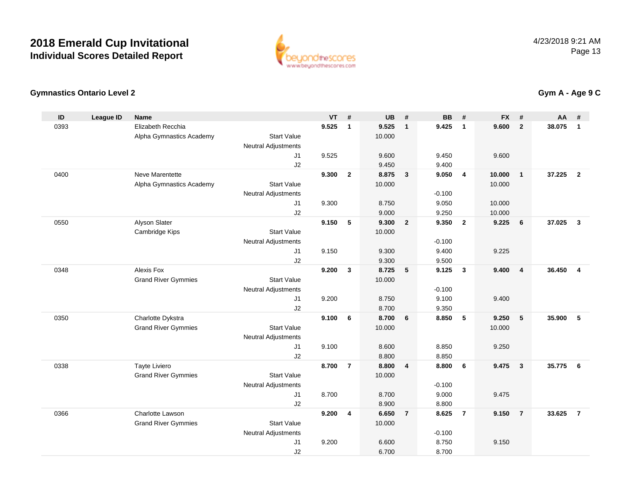

## **Gymnastics Ontario Level 2**

| Elizabeth Recchia<br>0393<br>9.525<br>9.525<br>9.425<br>9.600<br>$\overline{2}$<br>38.075<br>$\mathbf{1}$<br>$\overline{1}$<br>$\mathbf{1}$<br>$\mathbf{1}$<br><b>Start Value</b><br>10.000<br>Alpha Gymnastics Academy<br><b>Neutral Adjustments</b><br>9.525<br>9.600<br>J <sub>1</sub><br>9.600<br>9.450<br>J2<br>9.450<br>9.400<br>Neve Marentette<br>$\mathbf{2}$<br>8.875<br>9.050<br>37.225<br>$\overline{2}$<br>0400<br>9.300<br>$\overline{\mathbf{3}}$<br>$\overline{4}$<br>10.000<br>$\mathbf{1}$<br>Alpha Gymnastics Academy<br><b>Start Value</b><br>10.000<br>10.000<br><b>Neutral Adjustments</b><br>$-0.100$<br>9.050<br>9.300<br>8.750<br>10.000<br>J <sub>1</sub><br>J2<br>9.000<br>9.250<br>10.000<br>Alyson Slater<br>9.150<br>5<br>9.300<br>9.350<br>9.225<br>37.025<br>$\mathbf{3}$<br>0550<br>$\overline{2}$<br>$\overline{\mathbf{2}}$<br>6<br><b>Start Value</b><br>10.000<br>Cambridge Kips<br>$-0.100$<br><b>Neutral Adjustments</b><br>J1<br>9.150<br>9.300<br>9.400<br>9.225<br>9.300<br>J2<br>9.500<br>Alexis Fox<br>9.200<br>$\mathbf{3}$<br>8.725<br>5<br>9.125<br>$\mathbf{3}$<br>9.400<br>36.450<br>$\overline{\mathbf{4}}$<br>0348<br>$\overline{4}$<br><b>Grand River Gymmies</b><br><b>Start Value</b><br>10.000<br><b>Neutral Adjustments</b><br>$-0.100$<br>J <sub>1</sub><br>9.200<br>8.750<br>9.100<br>9.400<br>J2<br>8.700<br>9.350<br>Charlotte Dykstra<br>9.100<br>6<br>8.700<br>8.850<br>5<br>9.250<br>5<br>35.900<br>5<br>0350<br>6<br><b>Start Value</b><br><b>Grand River Gymmies</b><br>10.000<br>10.000<br><b>Neutral Adjustments</b><br>9.100<br>8.600<br>8.850<br>9.250<br>J <sub>1</sub><br>J2<br>8.800<br>8.850<br>Tayte Liviero<br>8.700<br>$\overline{7}$<br>8.800<br>35.775<br>0338<br>$\overline{\mathbf{4}}$<br>8.800<br>6<br>9.475<br>$\mathbf{3}$<br>6<br><b>Start Value</b><br><b>Grand River Gymmies</b><br>10.000<br>$-0.100$<br><b>Neutral Adjustments</b><br>8.700<br>9.000<br>8.700<br>9.475<br>J1<br>J2<br>8.900<br>8.800<br>$\overline{7}$<br>$\overline{7}$<br>0366<br>Charlotte Lawson<br>9.200<br>4<br>6.650<br>$\overline{7}$<br>8.625<br>9.150<br>$\overline{7}$<br>33.625<br><b>Grand River Gymmies</b><br><b>Start Value</b><br>10.000<br><b>Neutral Adjustments</b><br>$-0.100$<br>J1<br>9.200<br>8.750<br>9.150<br>6.600<br>J2<br>6.700<br>8.700 | ID | <b>League ID</b> | <b>Name</b> | <b>VT</b> | # | <b>UB</b> | # | <b>BB</b> | # | <b>FX</b> | # | AA | # |
|--------------------------------------------------------------------------------------------------------------------------------------------------------------------------------------------------------------------------------------------------------------------------------------------------------------------------------------------------------------------------------------------------------------------------------------------------------------------------------------------------------------------------------------------------------------------------------------------------------------------------------------------------------------------------------------------------------------------------------------------------------------------------------------------------------------------------------------------------------------------------------------------------------------------------------------------------------------------------------------------------------------------------------------------------------------------------------------------------------------------------------------------------------------------------------------------------------------------------------------------------------------------------------------------------------------------------------------------------------------------------------------------------------------------------------------------------------------------------------------------------------------------------------------------------------------------------------------------------------------------------------------------------------------------------------------------------------------------------------------------------------------------------------------------------------------------------------------------------------------------------------------------------------------------------------------------------------------------------------------------------------------------------------------------------------------------------------------------------------------------------------------------------------------------------------------------------------------------------------------------------------------------------------------------------------------------------------|----|------------------|-------------|-----------|---|-----------|---|-----------|---|-----------|---|----|---|
|                                                                                                                                                                                                                                                                                                                                                                                                                                                                                                                                                                                                                                                                                                                                                                                                                                                                                                                                                                                                                                                                                                                                                                                                                                                                                                                                                                                                                                                                                                                                                                                                                                                                                                                                                                                                                                                                                                                                                                                                                                                                                                                                                                                                                                                                                                                                |    |                  |             |           |   |           |   |           |   |           |   |    |   |
|                                                                                                                                                                                                                                                                                                                                                                                                                                                                                                                                                                                                                                                                                                                                                                                                                                                                                                                                                                                                                                                                                                                                                                                                                                                                                                                                                                                                                                                                                                                                                                                                                                                                                                                                                                                                                                                                                                                                                                                                                                                                                                                                                                                                                                                                                                                                |    |                  |             |           |   |           |   |           |   |           |   |    |   |
|                                                                                                                                                                                                                                                                                                                                                                                                                                                                                                                                                                                                                                                                                                                                                                                                                                                                                                                                                                                                                                                                                                                                                                                                                                                                                                                                                                                                                                                                                                                                                                                                                                                                                                                                                                                                                                                                                                                                                                                                                                                                                                                                                                                                                                                                                                                                |    |                  |             |           |   |           |   |           |   |           |   |    |   |
|                                                                                                                                                                                                                                                                                                                                                                                                                                                                                                                                                                                                                                                                                                                                                                                                                                                                                                                                                                                                                                                                                                                                                                                                                                                                                                                                                                                                                                                                                                                                                                                                                                                                                                                                                                                                                                                                                                                                                                                                                                                                                                                                                                                                                                                                                                                                |    |                  |             |           |   |           |   |           |   |           |   |    |   |
|                                                                                                                                                                                                                                                                                                                                                                                                                                                                                                                                                                                                                                                                                                                                                                                                                                                                                                                                                                                                                                                                                                                                                                                                                                                                                                                                                                                                                                                                                                                                                                                                                                                                                                                                                                                                                                                                                                                                                                                                                                                                                                                                                                                                                                                                                                                                |    |                  |             |           |   |           |   |           |   |           |   |    |   |
|                                                                                                                                                                                                                                                                                                                                                                                                                                                                                                                                                                                                                                                                                                                                                                                                                                                                                                                                                                                                                                                                                                                                                                                                                                                                                                                                                                                                                                                                                                                                                                                                                                                                                                                                                                                                                                                                                                                                                                                                                                                                                                                                                                                                                                                                                                                                |    |                  |             |           |   |           |   |           |   |           |   |    |   |
|                                                                                                                                                                                                                                                                                                                                                                                                                                                                                                                                                                                                                                                                                                                                                                                                                                                                                                                                                                                                                                                                                                                                                                                                                                                                                                                                                                                                                                                                                                                                                                                                                                                                                                                                                                                                                                                                                                                                                                                                                                                                                                                                                                                                                                                                                                                                |    |                  |             |           |   |           |   |           |   |           |   |    |   |
|                                                                                                                                                                                                                                                                                                                                                                                                                                                                                                                                                                                                                                                                                                                                                                                                                                                                                                                                                                                                                                                                                                                                                                                                                                                                                                                                                                                                                                                                                                                                                                                                                                                                                                                                                                                                                                                                                                                                                                                                                                                                                                                                                                                                                                                                                                                                |    |                  |             |           |   |           |   |           |   |           |   |    |   |
|                                                                                                                                                                                                                                                                                                                                                                                                                                                                                                                                                                                                                                                                                                                                                                                                                                                                                                                                                                                                                                                                                                                                                                                                                                                                                                                                                                                                                                                                                                                                                                                                                                                                                                                                                                                                                                                                                                                                                                                                                                                                                                                                                                                                                                                                                                                                |    |                  |             |           |   |           |   |           |   |           |   |    |   |
|                                                                                                                                                                                                                                                                                                                                                                                                                                                                                                                                                                                                                                                                                                                                                                                                                                                                                                                                                                                                                                                                                                                                                                                                                                                                                                                                                                                                                                                                                                                                                                                                                                                                                                                                                                                                                                                                                                                                                                                                                                                                                                                                                                                                                                                                                                                                |    |                  |             |           |   |           |   |           |   |           |   |    |   |
|                                                                                                                                                                                                                                                                                                                                                                                                                                                                                                                                                                                                                                                                                                                                                                                                                                                                                                                                                                                                                                                                                                                                                                                                                                                                                                                                                                                                                                                                                                                                                                                                                                                                                                                                                                                                                                                                                                                                                                                                                                                                                                                                                                                                                                                                                                                                |    |                  |             |           |   |           |   |           |   |           |   |    |   |
|                                                                                                                                                                                                                                                                                                                                                                                                                                                                                                                                                                                                                                                                                                                                                                                                                                                                                                                                                                                                                                                                                                                                                                                                                                                                                                                                                                                                                                                                                                                                                                                                                                                                                                                                                                                                                                                                                                                                                                                                                                                                                                                                                                                                                                                                                                                                |    |                  |             |           |   |           |   |           |   |           |   |    |   |
|                                                                                                                                                                                                                                                                                                                                                                                                                                                                                                                                                                                                                                                                                                                                                                                                                                                                                                                                                                                                                                                                                                                                                                                                                                                                                                                                                                                                                                                                                                                                                                                                                                                                                                                                                                                                                                                                                                                                                                                                                                                                                                                                                                                                                                                                                                                                |    |                  |             |           |   |           |   |           |   |           |   |    |   |
|                                                                                                                                                                                                                                                                                                                                                                                                                                                                                                                                                                                                                                                                                                                                                                                                                                                                                                                                                                                                                                                                                                                                                                                                                                                                                                                                                                                                                                                                                                                                                                                                                                                                                                                                                                                                                                                                                                                                                                                                                                                                                                                                                                                                                                                                                                                                |    |                  |             |           |   |           |   |           |   |           |   |    |   |
|                                                                                                                                                                                                                                                                                                                                                                                                                                                                                                                                                                                                                                                                                                                                                                                                                                                                                                                                                                                                                                                                                                                                                                                                                                                                                                                                                                                                                                                                                                                                                                                                                                                                                                                                                                                                                                                                                                                                                                                                                                                                                                                                                                                                                                                                                                                                |    |                  |             |           |   |           |   |           |   |           |   |    |   |
|                                                                                                                                                                                                                                                                                                                                                                                                                                                                                                                                                                                                                                                                                                                                                                                                                                                                                                                                                                                                                                                                                                                                                                                                                                                                                                                                                                                                                                                                                                                                                                                                                                                                                                                                                                                                                                                                                                                                                                                                                                                                                                                                                                                                                                                                                                                                |    |                  |             |           |   |           |   |           |   |           |   |    |   |
|                                                                                                                                                                                                                                                                                                                                                                                                                                                                                                                                                                                                                                                                                                                                                                                                                                                                                                                                                                                                                                                                                                                                                                                                                                                                                                                                                                                                                                                                                                                                                                                                                                                                                                                                                                                                                                                                                                                                                                                                                                                                                                                                                                                                                                                                                                                                |    |                  |             |           |   |           |   |           |   |           |   |    |   |
|                                                                                                                                                                                                                                                                                                                                                                                                                                                                                                                                                                                                                                                                                                                                                                                                                                                                                                                                                                                                                                                                                                                                                                                                                                                                                                                                                                                                                                                                                                                                                                                                                                                                                                                                                                                                                                                                                                                                                                                                                                                                                                                                                                                                                                                                                                                                |    |                  |             |           |   |           |   |           |   |           |   |    |   |
|                                                                                                                                                                                                                                                                                                                                                                                                                                                                                                                                                                                                                                                                                                                                                                                                                                                                                                                                                                                                                                                                                                                                                                                                                                                                                                                                                                                                                                                                                                                                                                                                                                                                                                                                                                                                                                                                                                                                                                                                                                                                                                                                                                                                                                                                                                                                |    |                  |             |           |   |           |   |           |   |           |   |    |   |
|                                                                                                                                                                                                                                                                                                                                                                                                                                                                                                                                                                                                                                                                                                                                                                                                                                                                                                                                                                                                                                                                                                                                                                                                                                                                                                                                                                                                                                                                                                                                                                                                                                                                                                                                                                                                                                                                                                                                                                                                                                                                                                                                                                                                                                                                                                                                |    |                  |             |           |   |           |   |           |   |           |   |    |   |
|                                                                                                                                                                                                                                                                                                                                                                                                                                                                                                                                                                                                                                                                                                                                                                                                                                                                                                                                                                                                                                                                                                                                                                                                                                                                                                                                                                                                                                                                                                                                                                                                                                                                                                                                                                                                                                                                                                                                                                                                                                                                                                                                                                                                                                                                                                                                |    |                  |             |           |   |           |   |           |   |           |   |    |   |
|                                                                                                                                                                                                                                                                                                                                                                                                                                                                                                                                                                                                                                                                                                                                                                                                                                                                                                                                                                                                                                                                                                                                                                                                                                                                                                                                                                                                                                                                                                                                                                                                                                                                                                                                                                                                                                                                                                                                                                                                                                                                                                                                                                                                                                                                                                                                |    |                  |             |           |   |           |   |           |   |           |   |    |   |
|                                                                                                                                                                                                                                                                                                                                                                                                                                                                                                                                                                                                                                                                                                                                                                                                                                                                                                                                                                                                                                                                                                                                                                                                                                                                                                                                                                                                                                                                                                                                                                                                                                                                                                                                                                                                                                                                                                                                                                                                                                                                                                                                                                                                                                                                                                                                |    |                  |             |           |   |           |   |           |   |           |   |    |   |
|                                                                                                                                                                                                                                                                                                                                                                                                                                                                                                                                                                                                                                                                                                                                                                                                                                                                                                                                                                                                                                                                                                                                                                                                                                                                                                                                                                                                                                                                                                                                                                                                                                                                                                                                                                                                                                                                                                                                                                                                                                                                                                                                                                                                                                                                                                                                |    |                  |             |           |   |           |   |           |   |           |   |    |   |
|                                                                                                                                                                                                                                                                                                                                                                                                                                                                                                                                                                                                                                                                                                                                                                                                                                                                                                                                                                                                                                                                                                                                                                                                                                                                                                                                                                                                                                                                                                                                                                                                                                                                                                                                                                                                                                                                                                                                                                                                                                                                                                                                                                                                                                                                                                                                |    |                  |             |           |   |           |   |           |   |           |   |    |   |
|                                                                                                                                                                                                                                                                                                                                                                                                                                                                                                                                                                                                                                                                                                                                                                                                                                                                                                                                                                                                                                                                                                                                                                                                                                                                                                                                                                                                                                                                                                                                                                                                                                                                                                                                                                                                                                                                                                                                                                                                                                                                                                                                                                                                                                                                                                                                |    |                  |             |           |   |           |   |           |   |           |   |    |   |
|                                                                                                                                                                                                                                                                                                                                                                                                                                                                                                                                                                                                                                                                                                                                                                                                                                                                                                                                                                                                                                                                                                                                                                                                                                                                                                                                                                                                                                                                                                                                                                                                                                                                                                                                                                                                                                                                                                                                                                                                                                                                                                                                                                                                                                                                                                                                |    |                  |             |           |   |           |   |           |   |           |   |    |   |
|                                                                                                                                                                                                                                                                                                                                                                                                                                                                                                                                                                                                                                                                                                                                                                                                                                                                                                                                                                                                                                                                                                                                                                                                                                                                                                                                                                                                                                                                                                                                                                                                                                                                                                                                                                                                                                                                                                                                                                                                                                                                                                                                                                                                                                                                                                                                |    |                  |             |           |   |           |   |           |   |           |   |    |   |
|                                                                                                                                                                                                                                                                                                                                                                                                                                                                                                                                                                                                                                                                                                                                                                                                                                                                                                                                                                                                                                                                                                                                                                                                                                                                                                                                                                                                                                                                                                                                                                                                                                                                                                                                                                                                                                                                                                                                                                                                                                                                                                                                                                                                                                                                                                                                |    |                  |             |           |   |           |   |           |   |           |   |    |   |
|                                                                                                                                                                                                                                                                                                                                                                                                                                                                                                                                                                                                                                                                                                                                                                                                                                                                                                                                                                                                                                                                                                                                                                                                                                                                                                                                                                                                                                                                                                                                                                                                                                                                                                                                                                                                                                                                                                                                                                                                                                                                                                                                                                                                                                                                                                                                |    |                  |             |           |   |           |   |           |   |           |   |    |   |
|                                                                                                                                                                                                                                                                                                                                                                                                                                                                                                                                                                                                                                                                                                                                                                                                                                                                                                                                                                                                                                                                                                                                                                                                                                                                                                                                                                                                                                                                                                                                                                                                                                                                                                                                                                                                                                                                                                                                                                                                                                                                                                                                                                                                                                                                                                                                |    |                  |             |           |   |           |   |           |   |           |   |    |   |
|                                                                                                                                                                                                                                                                                                                                                                                                                                                                                                                                                                                                                                                                                                                                                                                                                                                                                                                                                                                                                                                                                                                                                                                                                                                                                                                                                                                                                                                                                                                                                                                                                                                                                                                                                                                                                                                                                                                                                                                                                                                                                                                                                                                                                                                                                                                                |    |                  |             |           |   |           |   |           |   |           |   |    |   |
|                                                                                                                                                                                                                                                                                                                                                                                                                                                                                                                                                                                                                                                                                                                                                                                                                                                                                                                                                                                                                                                                                                                                                                                                                                                                                                                                                                                                                                                                                                                                                                                                                                                                                                                                                                                                                                                                                                                                                                                                                                                                                                                                                                                                                                                                                                                                |    |                  |             |           |   |           |   |           |   |           |   |    |   |

## **Gym A - Age 9 C**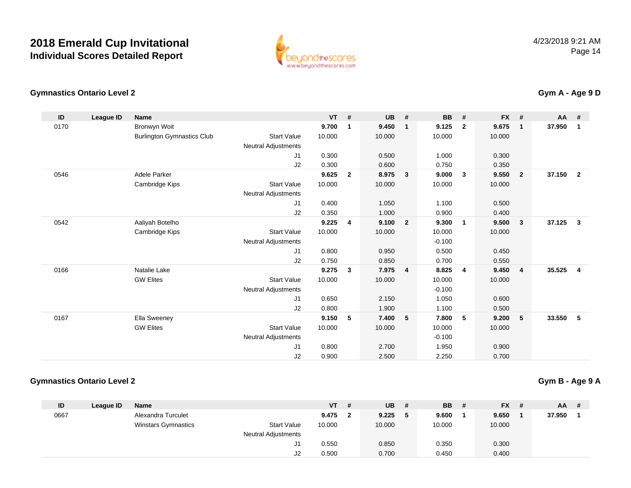

## **Gymnastics Ontario Level 2**

| ID   | League ID | Name                              |                            | VT     | #              | UB     | #              | BB       | #              | FX #   |                | $AA$ # |                         |
|------|-----------|-----------------------------------|----------------------------|--------|----------------|--------|----------------|----------|----------------|--------|----------------|--------|-------------------------|
| 0170 |           | <b>Bronwyn Woit</b>               |                            | 9.700  | $\overline{1}$ | 9.450  | $\mathbf{1}$   | 9.125    | $\overline{2}$ | 9.675  | $\mathbf{1}$   | 37.950 | $\overline{1}$          |
|      |           | <b>Burlington Gymnastics Club</b> | <b>Start Value</b>         | 10.000 |                | 10.000 |                | 10.000   |                | 10.000 |                |        |                         |
|      |           |                                   | <b>Neutral Adjustments</b> |        |                |        |                |          |                |        |                |        |                         |
|      |           |                                   | J <sub>1</sub>             | 0.300  |                | 0.500  |                | 1.000    |                | 0.300  |                |        |                         |
|      |           |                                   | J2                         | 0.300  |                | 0.600  |                | 0.750    |                | 0.350  |                |        |                         |
| 0546 |           | <b>Adele Parker</b>               |                            | 9.625  | $\overline{2}$ | 8.975  | $\mathbf{3}$   | 9.000    | 3              | 9.550  | $\overline{2}$ | 37.150 | $\overline{2}$          |
|      |           | Cambridge Kips                    | <b>Start Value</b>         | 10.000 |                | 10.000 |                | 10.000   |                | 10.000 |                |        |                         |
|      |           |                                   | <b>Neutral Adjustments</b> |        |                |        |                |          |                |        |                |        |                         |
|      |           |                                   | J <sub>1</sub>             | 0.400  |                | 1.050  |                | 1.100    |                | 0.500  |                |        |                         |
|      |           |                                   | J2                         | 0.350  |                | 1.000  |                | 0.900    |                | 0.400  |                |        |                         |
| 0542 |           | Aaliyah Botelho                   |                            | 9.225  | $\overline{4}$ | 9.100  | $\overline{2}$ | 9.300    | 1              | 9.500  | 3              | 37.125 | $\overline{\mathbf{3}}$ |
|      |           | Cambridge Kips                    | <b>Start Value</b>         | 10.000 |                | 10.000 |                | 10.000   |                | 10.000 |                |        |                         |
|      |           |                                   | <b>Neutral Adjustments</b> |        |                |        |                | $-0.100$ |                |        |                |        |                         |
|      |           |                                   | J <sub>1</sub>             | 0.800  |                | 0.950  |                | 0.500    |                | 0.450  |                |        |                         |
|      |           |                                   | J2                         | 0.750  |                | 0.850  |                | 0.700    |                | 0.550  |                |        |                         |
| 0166 |           | Natalie Lake                      |                            | 9.275  | $\mathbf{3}$   | 7.975  | $\overline{4}$ | 8.825    | 4              | 9.450  | 4              | 35.525 | $\overline{4}$          |
|      |           | <b>GW Elites</b>                  | <b>Start Value</b>         | 10.000 |                | 10.000 |                | 10.000   |                | 10.000 |                |        |                         |
|      |           |                                   | <b>Neutral Adjustments</b> |        |                |        |                | $-0.100$ |                |        |                |        |                         |
|      |           |                                   | J <sub>1</sub>             | 0.650  |                | 2.150  |                | 1.050    |                | 0.600  |                |        |                         |
|      |           |                                   | J2                         | 0.800  |                | 1.900  |                | 1.100    |                | 0.500  |                |        |                         |
| 0167 |           | Ella Sweeney                      |                            | 9.150  | 5              | 7.400  | 5              | 7.800    | 5              | 9.200  | 5              | 33.550 | 5                       |
|      |           | <b>GW Elites</b>                  | <b>Start Value</b>         | 10.000 |                | 10.000 |                | 10.000   |                | 10.000 |                |        |                         |
|      |           |                                   | <b>Neutral Adjustments</b> |        |                |        |                | $-0.100$ |                |        |                |        |                         |
|      |           |                                   | J <sub>1</sub>             | 0.800  |                | 2.700  |                | 1.950    |                | 0.900  |                |        |                         |
|      |           |                                   | J2                         | 0.900  |                | 2.500  |                | 2.250    |                | 0.700  |                |        |                         |

## **Gymnastics Ontario Level 2**

**Gym B - Age 9 A**

| ID   | League ID | <b>Name</b>                |                            | <b>VT</b> | -# | UB     | #  | <b>BB</b> | # | <b>FX</b> | $AA$ # |  |
|------|-----------|----------------------------|----------------------------|-----------|----|--------|----|-----------|---|-----------|--------|--|
| 0667 |           | Alexandra Turculet         |                            | 9.475     |    | 9.225  | -5 | 9.600     |   | 9.650     | 37.950 |  |
|      |           | <b>Winstars Gymnastics</b> | <b>Start Value</b>         | 10.000    |    | 10.000 |    | 10.000    |   | 10.000    |        |  |
|      |           |                            | <b>Neutral Adjustments</b> |           |    |        |    |           |   |           |        |  |
|      |           |                            | ال-                        | 0.550     |    | 0.850  |    | 0.350     |   | 0.300     |        |  |
|      |           |                            | J2                         | 0.500     |    | 0.700  |    | 0.450     |   | 0.400     |        |  |

## **Gym A - Age 9 D**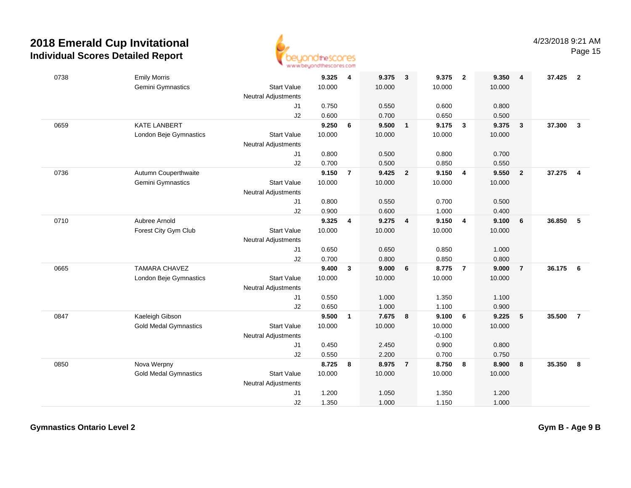

| 0738 | <b>Emily Morris</b>          |                            | 9.325  | 4              | 9.375  | $\overline{\mathbf{3}}$ | 9.375    | $\overline{\mathbf{2}}$ | 9.350  | $\overline{4}$  | 37.425 | $\overline{2}$ |
|------|------------------------------|----------------------------|--------|----------------|--------|-------------------------|----------|-------------------------|--------|-----------------|--------|----------------|
|      | Gemini Gymnastics            | <b>Start Value</b>         | 10.000 |                | 10.000 |                         | 10.000   |                         | 10.000 |                 |        |                |
|      |                              | <b>Neutral Adjustments</b> |        |                |        |                         |          |                         |        |                 |        |                |
|      |                              | J1                         | 0.750  |                | 0.550  |                         | 0.600    |                         | 0.800  |                 |        |                |
|      |                              | J2                         | 0.600  |                | 0.700  |                         | 0.650    |                         | 0.500  |                 |        |                |
| 0659 | <b>KATE LANBERT</b>          |                            | 9.250  | 6              | 9.500  | $\mathbf{1}$            | 9.175    | $\overline{\mathbf{3}}$ | 9.375  | $\mathbf{3}$    | 37.300 | $\mathbf{3}$   |
|      | London Beje Gymnastics       | <b>Start Value</b>         | 10.000 |                | 10.000 |                         | 10.000   |                         | 10.000 |                 |        |                |
|      |                              | Neutral Adjustments        |        |                |        |                         |          |                         |        |                 |        |                |
|      |                              | J1                         | 0.800  |                | 0.500  |                         | 0.800    |                         | 0.700  |                 |        |                |
|      |                              | J2                         | 0.700  |                | 0.500  |                         | 0.850    |                         | 0.550  |                 |        |                |
| 0736 | Autumn Couperthwaite         |                            | 9.150  | $\overline{7}$ | 9.425  | $\overline{\mathbf{2}}$ | 9.150    | 4                       | 9.550  | $\mathbf{2}$    | 37.275 | 4              |
|      | Gemini Gymnastics            | <b>Start Value</b>         | 10.000 |                | 10.000 |                         | 10.000   |                         | 10.000 |                 |        |                |
|      |                              | <b>Neutral Adjustments</b> |        |                |        |                         |          |                         |        |                 |        |                |
|      |                              | J1                         | 0.800  |                | 0.550  |                         | 0.700    |                         | 0.500  |                 |        |                |
|      |                              | J2                         | 0.900  |                | 0.600  |                         | 1.000    |                         | 0.400  |                 |        |                |
| 0710 | Aubree Arnold                |                            | 9.325  | 4              | 9.275  | $\overline{\mathbf{4}}$ | 9.150    | $\overline{\mathbf{4}}$ | 9.100  | 6               | 36.850 | 5              |
|      | Forest City Gym Club         | <b>Start Value</b>         | 10.000 |                | 10.000 |                         | 10.000   |                         | 10.000 |                 |        |                |
|      |                              | <b>Neutral Adjustments</b> |        |                |        |                         |          |                         |        |                 |        |                |
|      |                              | J1                         | 0.650  |                | 0.650  |                         | 0.850    |                         | 1.000  |                 |        |                |
|      |                              | J2                         | 0.700  |                | 0.800  |                         | 0.850    |                         | 0.800  |                 |        |                |
| 0665 | <b>TAMARA CHAVEZ</b>         |                            | 9.400  | $\mathbf{3}$   | 9.000  | 6                       | 8.775    | $\overline{7}$          | 9.000  | $\overline{7}$  | 36.175 | 6              |
|      | London Beje Gymnastics       | <b>Start Value</b>         | 10.000 |                | 10.000 |                         | 10.000   |                         | 10.000 |                 |        |                |
|      |                              | <b>Neutral Adjustments</b> |        |                |        |                         |          |                         |        |                 |        |                |
|      |                              | J1                         | 0.550  |                | 1.000  |                         | 1.350    |                         | 1.100  |                 |        |                |
|      |                              | J2                         | 0.650  |                | 1.000  |                         | 1.100    |                         | 0.900  |                 |        |                |
| 0847 | Kaeleigh Gibson              |                            | 9.500  | $\mathbf{1}$   | 7.675  | $\overline{\mathbf{8}}$ | 9.100    | 6                       | 9.225  | $5\phantom{.0}$ | 35.500 | $\overline{7}$ |
|      | <b>Gold Medal Gymnastics</b> | <b>Start Value</b>         | 10.000 |                | 10.000 |                         | 10.000   |                         | 10.000 |                 |        |                |
|      |                              | <b>Neutral Adjustments</b> |        |                |        |                         | $-0.100$ |                         |        |                 |        |                |
|      |                              | J1                         | 0.450  |                | 2.450  |                         | 0.900    |                         | 0.800  |                 |        |                |
|      |                              | J2                         | 0.550  |                | 2.200  |                         | 0.700    |                         | 0.750  |                 |        |                |
| 0850 | Nova Werpny                  |                            | 8.725  | 8              | 8.975  | $\overline{7}$          | 8.750    | 8                       | 8.900  | 8               | 35.350 | 8              |
|      | <b>Gold Medal Gymnastics</b> | <b>Start Value</b>         | 10.000 |                | 10.000 |                         | 10.000   |                         | 10.000 |                 |        |                |
|      |                              | <b>Neutral Adjustments</b> |        |                |        |                         |          |                         |        |                 |        |                |
|      |                              | J1                         | 1.200  |                | 1.050  |                         | 1.350    |                         | 1.200  |                 |        |                |
|      |                              | J2                         | 1.350  |                | 1.000  |                         | 1.150    |                         | 1.000  |                 |        |                |
|      |                              |                            |        |                |        |                         |          |                         |        |                 |        |                |

**Gymnastics Ontario Level 2**

**Gym B - Age 9 B**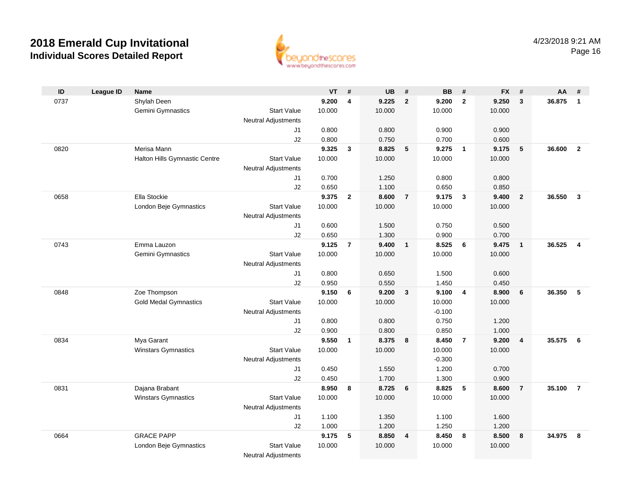

| ID   | <b>League ID</b> | <b>Name</b>                   |                            | $VT$ #         |                | <b>UB</b>      | #                       | <b>BB</b>      | #              | <b>FX</b>      | #                       | AA     | #                   |
|------|------------------|-------------------------------|----------------------------|----------------|----------------|----------------|-------------------------|----------------|----------------|----------------|-------------------------|--------|---------------------|
| 0737 |                  | Shylah Deen                   |                            | 9.200          | 4              | 9.225          | $\mathbf{2}$            | 9.200          | $\overline{2}$ | 9.250          | $\mathbf{3}$            | 36.875 | $\overline{1}$      |
|      |                  | Gemini Gymnastics             | <b>Start Value</b>         | 10.000         |                | 10.000         |                         | 10.000         |                | 10.000         |                         |        |                     |
|      |                  |                               | <b>Neutral Adjustments</b> |                |                |                |                         |                |                |                |                         |        |                     |
|      |                  |                               | J1                         | 0.800          |                | 0.800          |                         | 0.900          |                | 0.900          |                         |        |                     |
|      |                  |                               | J2                         | 0.800          |                | 0.750          |                         | 0.700          |                | 0.600          |                         |        |                     |
| 0820 |                  | Merisa Mann                   |                            | 9.325          | $\mathbf{3}$   | 8.825          | 5                       | 9.275          | $\overline{1}$ | 9.175          | 5                       | 36.600 | $\overline{2}$      |
|      |                  | Halton Hills Gymnastic Centre | <b>Start Value</b>         | 10.000         |                | 10.000         |                         | 10.000         |                | 10.000         |                         |        |                     |
|      |                  |                               | <b>Neutral Adjustments</b> |                |                |                |                         |                |                |                |                         |        |                     |
|      |                  |                               | J1                         | 0.700          |                | 1.250          |                         | 0.800          |                | 0.800          |                         |        |                     |
|      |                  |                               | J2                         | 0.650          |                | 1.100          |                         | 0.650          |                | 0.850          |                         |        |                     |
| 0658 |                  | Ella Stockie                  |                            | 9.375          | $\overline{2}$ | 8.600          | $\overline{7}$          | 9.175          | $\mathbf{3}$   | 9.400          | $\overline{2}$          | 36.550 | $\mathbf{3}$        |
|      |                  | London Beje Gymnastics        | <b>Start Value</b>         | 10.000         |                | 10.000         |                         | 10.000         |                | 10.000         |                         |        |                     |
|      |                  |                               | <b>Neutral Adjustments</b> |                |                |                |                         |                |                |                |                         |        |                     |
|      |                  |                               | J1                         | 0.600          |                | 1.500          |                         | 0.750          |                | 0.500          |                         |        |                     |
|      |                  |                               | J2                         | 0.650          |                | 1.300          |                         | 0.900          |                | 0.700          |                         |        |                     |
| 0743 |                  | Emma Lauzon                   |                            | 9.125          | $\overline{7}$ | 9.400          | $\mathbf{1}$            | 8.525          | 6              | 9.475          | $\overline{\mathbf{1}}$ | 36.525 | $\overline{\bf{4}}$ |
|      |                  | Gemini Gymnastics             | <b>Start Value</b>         | 10.000         |                | 10.000         |                         | 10.000         |                | 10.000         |                         |        |                     |
|      |                  |                               | <b>Neutral Adjustments</b> |                |                |                |                         |                |                |                |                         |        |                     |
|      |                  |                               | J1                         | 0.800          |                | 0.650          |                         | 1.500          |                | 0.600          |                         |        |                     |
|      |                  |                               | J2                         | 0.950          |                | 0.550          |                         | 1.450          |                | 0.450          |                         |        |                     |
| 0848 |                  | Zoe Thompson                  |                            | 9.150          | 6              | 9.200          | 3                       | 9.100          | 4              | 8.900          | 6                       | 36.350 | -5                  |
|      |                  | <b>Gold Medal Gymnastics</b>  | <b>Start Value</b>         | 10.000         |                | 10.000         |                         | 10.000         |                | 10.000         |                         |        |                     |
|      |                  |                               | Neutral Adjustments        |                |                |                |                         | $-0.100$       |                |                |                         |        |                     |
|      |                  |                               | J1                         | 0.800          |                | 0.800          |                         | 0.750          |                | 1.200          |                         |        |                     |
| 0834 |                  | Mya Garant                    | J2                         | 0.900<br>9.550 | $\mathbf{1}$   | 0.800<br>8.375 | 8                       | 0.850<br>8.450 | $\overline{7}$ | 1.000<br>9.200 | $\overline{4}$          | 35.575 | - 6                 |
|      |                  | <b>Winstars Gymnastics</b>    | <b>Start Value</b>         | 10.000         |                | 10.000         |                         | 10.000         |                | 10.000         |                         |        |                     |
|      |                  |                               | Neutral Adjustments        |                |                |                |                         | $-0.300$       |                |                |                         |        |                     |
|      |                  |                               | J1                         | 0.450          |                | 1.550          |                         | 1.200          |                | 0.700          |                         |        |                     |
|      |                  |                               | J2                         | 0.450          |                | 1.700          |                         | 1.300          |                | 0.900          |                         |        |                     |
| 0831 |                  | Dajana Brabant                |                            | 8.950          | 8              | 8.725          | 6                       | 8.825          | 5              | 8.600          | $\overline{7}$          | 35.100 | $\overline{7}$      |
|      |                  | <b>Winstars Gymnastics</b>    | <b>Start Value</b>         | 10.000         |                | 10.000         |                         | 10.000         |                | 10.000         |                         |        |                     |
|      |                  |                               | <b>Neutral Adjustments</b> |                |                |                |                         |                |                |                |                         |        |                     |
|      |                  |                               | J1                         | 1.100          |                | 1.350          |                         | 1.100          |                | 1.600          |                         |        |                     |
|      |                  |                               | J2                         | 1.000          |                | 1.200          |                         | 1.250          |                | 1.200          |                         |        |                     |
| 0664 |                  | <b>GRACE PAPP</b>             |                            | 9.175          | 5              | 8.850          | $\overline{\mathbf{4}}$ | 8.450          | 8              | 8.500          | 8                       | 34.975 | -8                  |
|      |                  | London Beje Gymnastics        | <b>Start Value</b>         | 10.000         |                | 10.000         |                         | 10.000         |                | 10.000         |                         |        |                     |
|      |                  |                               | <b>Neutral Adjustments</b> |                |                |                |                         |                |                |                |                         |        |                     |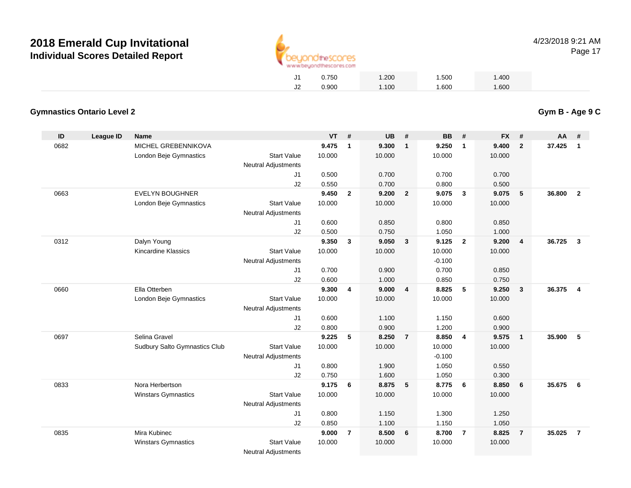

**Gym B - Age 9 C**

Page 17

| 0.750 | 1.200 | 1.500 | 1.400 |
|-------|-------|-------|-------|
| 0.900 | 1.100 | 1.600 | 1.600 |

## **Gymnastics Ontario Level 2**

| ID   | <b>League ID</b> | <b>Name</b>                   |                            | <b>VT</b> | #              | <b>UB</b> | #                       | <b>BB</b> | #                       | <b>FX</b> | #               | AA     | #              |
|------|------------------|-------------------------------|----------------------------|-----------|----------------|-----------|-------------------------|-----------|-------------------------|-----------|-----------------|--------|----------------|
| 0682 |                  | MICHEL GREBENNIKOVA           |                            | 9.475     | $\overline{1}$ | 9.300     | $\overline{\mathbf{1}}$ | 9.250     | $\overline{1}$          | 9.400     | $\overline{2}$  | 37.425 | $\mathbf{1}$   |
|      |                  | London Beje Gymnastics        | <b>Start Value</b>         | 10.000    |                | 10.000    |                         | 10.000    |                         | 10.000    |                 |        |                |
|      |                  |                               | <b>Neutral Adjustments</b> |           |                |           |                         |           |                         |           |                 |        |                |
|      |                  |                               | J <sub>1</sub>             | 0.500     |                | 0.700     |                         | 0.700     |                         | 0.700     |                 |        |                |
|      |                  |                               | J2                         | 0.550     |                | 0.700     |                         | 0.800     |                         | 0.500     |                 |        |                |
| 0663 |                  | <b>EVELYN BOUGHNER</b>        |                            | 9.450     | $\mathbf{2}$   | 9.200     | $\overline{\mathbf{2}}$ | 9.075     | $\mathbf{3}$            | 9.075     | $5\phantom{.0}$ | 36.800 | $\overline{2}$ |
|      |                  | London Beje Gymnastics        | <b>Start Value</b>         | 10.000    |                | 10.000    |                         | 10.000    |                         | 10.000    |                 |        |                |
|      |                  |                               | <b>Neutral Adjustments</b> |           |                |           |                         |           |                         |           |                 |        |                |
|      |                  |                               | J1                         | 0.600     |                | 0.850     |                         | 0.800     |                         | 0.850     |                 |        |                |
|      |                  |                               | J2                         | 0.500     |                | 0.750     |                         | 1.050     |                         | 1.000     |                 |        |                |
| 0312 |                  | Dalyn Young                   |                            | 9.350     | $\mathbf{3}$   | 9.050     | $\overline{\mathbf{3}}$ | 9.125     | $\overline{\mathbf{2}}$ | 9.200     | $\overline{4}$  | 36.725 | $\mathbf{3}$   |
|      |                  | <b>Kincardine Klassics</b>    | <b>Start Value</b>         | 10.000    |                | 10.000    |                         | 10.000    |                         | 10.000    |                 |        |                |
|      |                  |                               | <b>Neutral Adjustments</b> |           |                |           |                         | $-0.100$  |                         |           |                 |        |                |
|      |                  |                               | J <sub>1</sub>             | 0.700     |                | 0.900     |                         | 0.700     |                         | 0.850     |                 |        |                |
|      |                  |                               | J2                         | 0.600     |                | 1.000     |                         | 0.850     |                         | 0.750     |                 |        |                |
| 0660 |                  | Ella Otterben                 |                            | 9.300     | $\overline{4}$ | 9.000     | $\overline{4}$          | 8.825     | 5                       | 9.250     | $\mathbf{3}$    | 36.375 | $\overline{4}$ |
|      |                  | London Beje Gymnastics        | <b>Start Value</b>         | 10.000    |                | 10.000    |                         | 10.000    |                         | 10.000    |                 |        |                |
|      |                  |                               | <b>Neutral Adjustments</b> |           |                |           |                         |           |                         |           |                 |        |                |
|      |                  |                               | J <sub>1</sub>             | 0.600     |                | 1.100     |                         | 1.150     |                         | 0.600     |                 |        |                |
|      |                  |                               | J2                         | 0.800     |                | 0.900     |                         | 1.200     |                         | 0.900     |                 |        |                |
| 0697 |                  | Selina Gravel                 |                            | 9.225     | 5              | 8.250     | $\overline{7}$          | 8.850     | $\overline{4}$          | 9.575     | $\overline{1}$  | 35.900 | 5              |
|      |                  | Sudbury Salto Gymnastics Club | <b>Start Value</b>         | 10.000    |                | 10.000    |                         | 10.000    |                         | 10.000    |                 |        |                |
|      |                  |                               | <b>Neutral Adjustments</b> |           |                |           |                         | $-0.100$  |                         |           |                 |        |                |
|      |                  |                               | J <sub>1</sub>             | 0.800     |                | 1.900     |                         | 1.050     |                         | 0.550     |                 |        |                |
|      |                  |                               | J2                         | 0.750     |                | 1.600     |                         | 1.050     |                         | 0.300     |                 |        |                |
| 0833 |                  | Nora Herbertson               |                            | 9.175     | 6              | 8.875     | 5                       | 8.775     | 6                       | 8.850     | 6               | 35.675 | 6              |
|      |                  | <b>Winstars Gymnastics</b>    | <b>Start Value</b>         | 10.000    |                | 10.000    |                         | 10.000    |                         | 10.000    |                 |        |                |
|      |                  |                               | <b>Neutral Adjustments</b> |           |                |           |                         |           |                         |           |                 |        |                |
|      |                  |                               | J <sub>1</sub>             | 0.800     |                | 1.150     |                         | 1.300     |                         | 1.250     |                 |        |                |
|      |                  |                               | J <sub>2</sub>             | 0.850     |                | 1.100     |                         | 1.150     |                         | 1.050     |                 |        |                |
| 0835 |                  | Mira Kubinec                  |                            | 9.000     | $\overline{7}$ | 8.500     | 6                       | 8.700     | $\overline{7}$          | 8.825     | $\overline{7}$  | 35.025 | $\overline{7}$ |
|      |                  | <b>Winstars Gymnastics</b>    | <b>Start Value</b>         | 10.000    |                | 10.000    |                         | 10.000    |                         | 10.000    |                 |        |                |
|      |                  |                               | <b>Neutral Adjustments</b> |           |                |           |                         |           |                         |           |                 |        |                |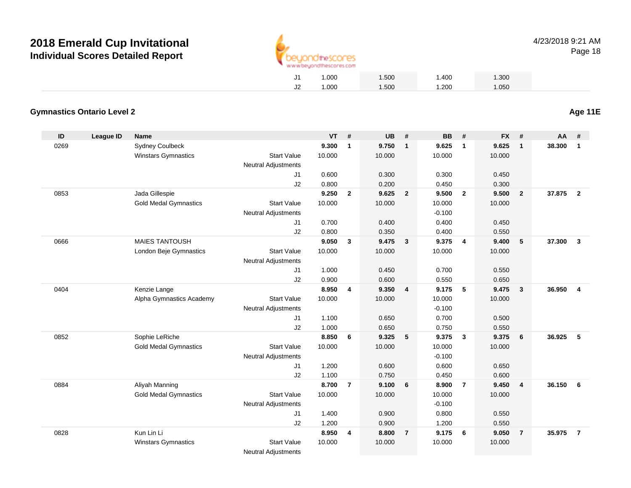

| J1 | 1.000 | 1.500 | 1.400 | 1.300 |
|----|-------|-------|-------|-------|
| J2 | 1.000 | 1.500 | 1.200 | 1.050 |

## **Gymnastics Ontario Level 2**

| ID   | <b>League ID</b> | <b>Name</b>                  |                            | <b>VT</b> | #              | <b>UB</b> | #                       | <b>BB</b> | #                       | <b>FX</b> | #              | AA     | #              |
|------|------------------|------------------------------|----------------------------|-----------|----------------|-----------|-------------------------|-----------|-------------------------|-----------|----------------|--------|----------------|
| 0269 |                  | <b>Sydney Coulbeck</b>       |                            | 9.300     | $\mathbf{1}$   | 9.750     | $\overline{1}$          | 9.625     | $\overline{\mathbf{1}}$ | 9.625     | $\mathbf{1}$   | 38,300 | $\mathbf{1}$   |
|      |                  | Winstars Gymnastics          | <b>Start Value</b>         | 10.000    |                | 10.000    |                         | 10.000    |                         | 10.000    |                |        |                |
|      |                  |                              | <b>Neutral Adjustments</b> |           |                |           |                         |           |                         |           |                |        |                |
|      |                  |                              | J1                         | 0.600     |                | 0.300     |                         | 0.300     |                         | 0.450     |                |        |                |
|      |                  |                              | J2                         | 0.800     |                | 0.200     |                         | 0.450     |                         | 0.300     |                |        |                |
| 0853 |                  | Jada Gillespie               |                            | 9.250     | $\overline{2}$ | 9.625     | $\overline{2}$          | 9.500     | $\overline{2}$          | 9.500     | $\overline{2}$ | 37,875 | $\overline{2}$ |
|      |                  | <b>Gold Medal Gymnastics</b> | <b>Start Value</b>         | 10.000    |                | 10.000    |                         | 10.000    |                         | 10.000    |                |        |                |
|      |                  |                              | <b>Neutral Adjustments</b> |           |                |           |                         | $-0.100$  |                         |           |                |        |                |
|      |                  |                              | J1                         | 0.700     |                | 0.400     |                         | 0.400     |                         | 0.450     |                |        |                |
|      |                  |                              | J2                         | 0.800     |                | 0.350     |                         | 0.400     |                         | 0.550     |                |        |                |
| 0666 |                  | <b>MAIES TANTOUSH</b>        |                            | 9.050     | 3              | 9.475     | $\overline{\mathbf{3}}$ | 9.375     | $\overline{4}$          | 9.400     | 5              | 37,300 | $\mathbf{3}$   |
|      |                  | London Beje Gymnastics       | <b>Start Value</b>         | 10.000    |                | 10.000    |                         | 10.000    |                         | 10.000    |                |        |                |
|      |                  |                              | <b>Neutral Adjustments</b> |           |                |           |                         |           |                         |           |                |        |                |
|      |                  |                              | J1                         | 1.000     |                | 0.450     |                         | 0.700     |                         | 0.550     |                |        |                |
|      |                  |                              | J2                         | 0.900     |                | 0.600     |                         | 0.550     |                         | 0.650     |                |        |                |
| 0404 |                  | Kenzie Lange                 |                            | 8.950     | 4              | 9.350     | $\overline{\mathbf{4}}$ | 9.175     | 5                       | 9.475     | $\mathbf{3}$   | 36.950 | $\overline{4}$ |
|      |                  | Alpha Gymnastics Academy     | <b>Start Value</b>         | 10.000    |                | 10.000    |                         | 10.000    |                         | 10.000    |                |        |                |
|      |                  |                              | <b>Neutral Adjustments</b> |           |                |           |                         | $-0.100$  |                         |           |                |        |                |
|      |                  |                              | J1                         | 1.100     |                | 0.650     |                         | 0.700     |                         | 0.500     |                |        |                |
|      |                  |                              | J2                         | 1.000     |                | 0.650     |                         | 0.750     |                         | 0.550     |                |        |                |
| 0852 |                  | Sophie LeRiche               |                            | 8.850     | 6              | 9.325     | $-5$                    | 9.375     | $\mathbf{3}$            | 9.375     | 6              | 36.925 | 5              |
|      |                  | <b>Gold Medal Gymnastics</b> | <b>Start Value</b>         | 10.000    |                | 10.000    |                         | 10.000    |                         | 10.000    |                |        |                |
|      |                  |                              | <b>Neutral Adjustments</b> |           |                |           |                         | $-0.100$  |                         |           |                |        |                |
|      |                  |                              | J1                         | 1.200     |                | 0.600     |                         | 0.600     |                         | 0.650     |                |        |                |
|      |                  |                              | J2                         | 1.100     |                | 0.750     |                         | 0.450     |                         | 0.600     |                |        |                |
| 0884 |                  | Aliyah Manning               |                            | 8.700     | $\overline{7}$ | 9.100     | 6                       | 8.900     | $\overline{7}$          | 9.450     | $\overline{4}$ | 36.150 | 6              |
|      |                  | <b>Gold Medal Gymnastics</b> | <b>Start Value</b>         | 10.000    |                | 10.000    |                         | 10.000    |                         | 10.000    |                |        |                |
|      |                  |                              | <b>Neutral Adjustments</b> |           |                |           |                         | $-0.100$  |                         |           |                |        |                |
|      |                  |                              | J <sub>1</sub>             | 1.400     |                | 0.900     |                         | 0.800     |                         | 0.550     |                |        |                |
|      |                  |                              | J2                         | 1.200     |                | 0.900     |                         | 1.200     |                         | 0.550     |                |        |                |
| 0828 |                  | Kun Lin Li                   |                            | 8.950     | 4              | 8.800     | $\overline{7}$          | 9.175     | - 6                     | 9.050     | $\overline{7}$ | 35.975 | $\overline{7}$ |
|      |                  | <b>Winstars Gymnastics</b>   | <b>Start Value</b>         | 10.000    |                | 10.000    |                         | 10.000    |                         | 10.000    |                |        |                |
|      |                  |                              | <b>Neutral Adjustments</b> |           |                |           |                         |           |                         |           |                |        |                |

**Age 11E**